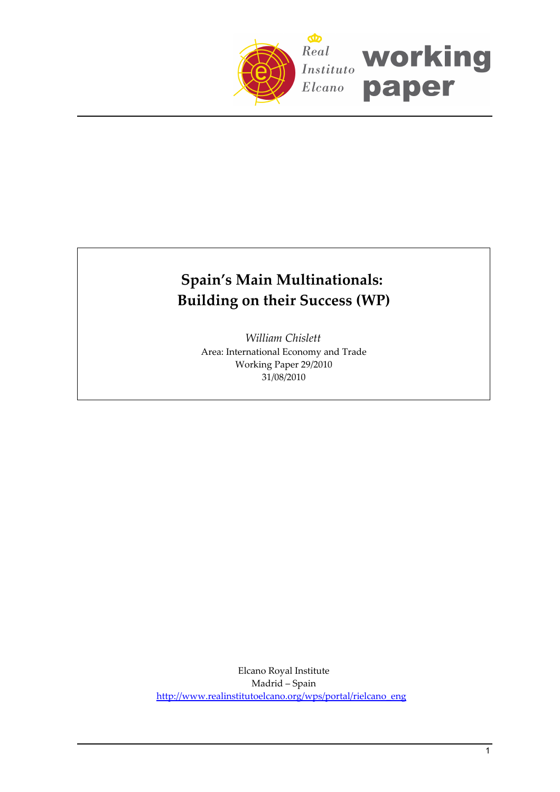

# **Spain's Main Multinationals: Building on their Success (WP)**

*William Chislett* Area: International Economy and Trade Working Paper 29/2010 31/08/2010

Elcano Royal Institute Madrid – Spain [http://www.realinstitutoelcano.org/wps/portal/rielcano\\_eng](http://www.realinstitutoelcano.org/wps/portal/rielcano_eng)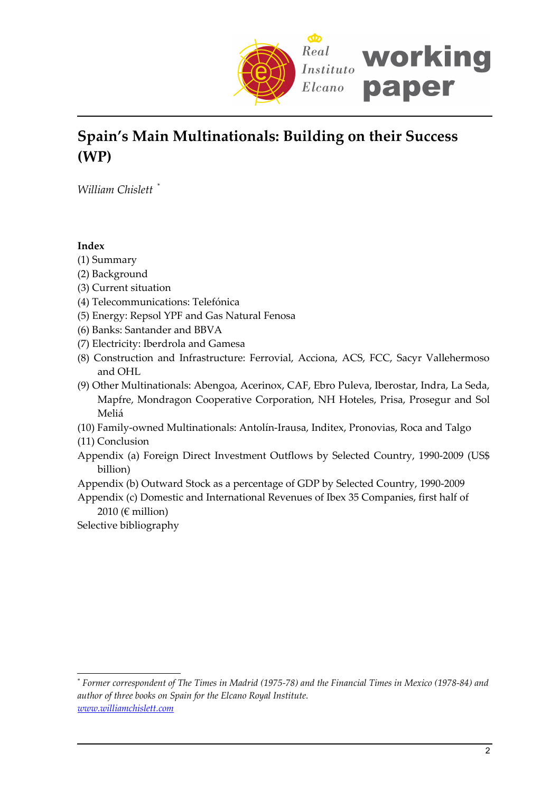

# **Spain's Main Multinationals: Building on their Success (WP)**

*William Chislett* [\\*](#page-1-0)

# **Index**

- (1) Summary
- (2) Background
- (3) Current situation
- (4) Telecommunications: Telefónica
- (5) Energy: Repsol YPF and Gas Natural Fenosa
- (6) Banks: Santander and BBVA
- (7) Electricity: Iberdrola and Gamesa
- (8) Construction and Infrastructure: Ferrovial, Acciona, ACS, FCC, Sacyr Vallehermoso and OHL
- (9) Other Multinationals: Abengoa, Acerinox, CAF, Ebro Puleva, Iberostar, Indra, La Seda, Mapfre, Mondragon Cooperative Corporation, NH Hoteles, Prisa, Prosegur and Sol Meliá
- (10) Family-owned Multinationals: Antolín-Irausa, Inditex, Pronovias, Roca and Talgo
- (11) Conclusion
- Appendix (a) Foreign Direct Investment Outflows by Selected Country, 1990-2009 (US\$ billion)
- Appendix (b) Outward Stock as a percentage of GDP by Selected Country, 1990-2009

Appendix (c) Domestic and International Revenues of Ibex 35 Companies, first half of 2010 ( $\epsilon$  million)

Selective bibliography

<span id="page-1-0"></span><sup>\*</sup> *Former correspondent of The Times in Madrid (1975-78) and the Financial Times in Mexico (1978-84) and author of three books on Spain for the Elcano Royal Institute. [www.williamchislett.com](http://www.williamchislett.com/)*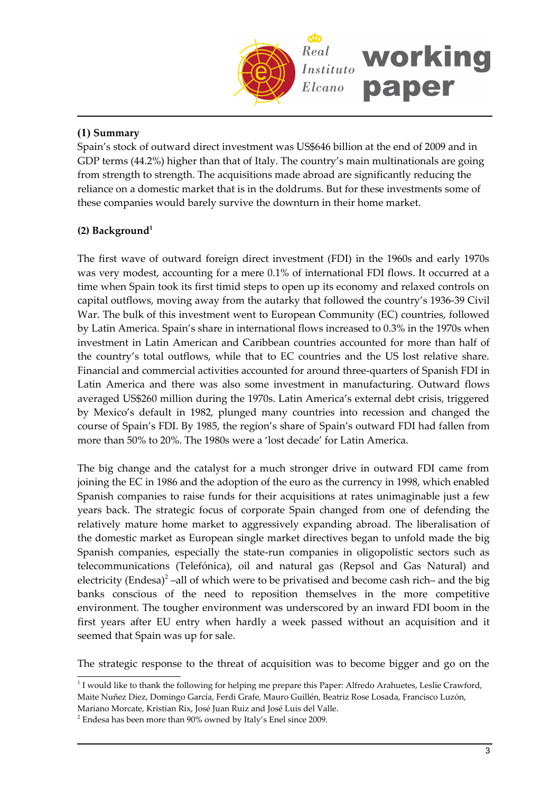

# **(1) Summary**

Spain's stock of outward direct investment was US\$646 billion at the end of 2009 and in GDP terms (44.2%) higher than that of Italy. The country's main multinationals are going from strength to strength. The acquisitions made abroad are significantly reducing the reliance on a domestic market that is in the doldrums. But for these investments some of these companies would barely survive the downturn in their home market.

# **(2) Background[1](#page-2-0)**

The first wave of outward foreign direct investment (FDI) in the 1960s and early 1970s was very modest, accounting for a mere 0.1% of international FDI flows. It occurred at a time when Spain took its first timid steps to open up its economy and relaxed controls on capital outflows, moving away from the autarky that followed the country's 1936-39 Civil War. The bulk of this investment went to European Community (EC) countries, followed by Latin America. Spain's share in international flows increased to 0.3% in the 1970s when investment in Latin American and Caribbean countries accounted for more than half of the country's total outflows, while that to EC countries and the US lost relative share. Financial and commercial activities accounted for around three-quarters of Spanish FDI in Latin America and there was also some investment in manufacturing. Outward flows averaged US\$260 million during the 1970s. Latin America's external debt crisis, triggered by Mexico's default in 1982, plunged many countries into recession and changed the course of Spain's FDI. By 1985, the region's share of Spain's outward FDI had fallen from more than 50% to 20%. The 1980s were a 'lost decade' for Latin America.

The big change and the catalyst for a much stronger drive in outward FDI came from joining the EC in 1986 and the adoption of the euro as the currency in 1998, which enabled Spanish companies to raise funds for their acquisitions at rates unimaginable just a few years back. The strategic focus of corporate Spain changed from one of defending the relatively mature home market to aggressively expanding abroad. The liberalisation of the domestic market as European single market directives began to unfold made the big Spanish companies, especially the state-run companies in oligopolistic sectors such as telecommunications (Telefónica), oil and natural gas (Repsol and Gas Natural) and electricity (Endesa)<sup>[2](#page-2-1)</sup> –all of which were to be privatised and become cash rich– and the big banks conscious of the need to reposition themselves in the more competitive environment. The tougher environment was underscored by an inward FDI boom in the first years after EU entry when hardly a week passed without an acquisition and it seemed that Spain was up for sale.

The strategic response to the threat of acquisition was to become bigger and go on the

<span id="page-2-0"></span><sup>&</sup>lt;sup>1</sup> I would like to thank the following for helping me prepare this Paper: Alfredo Arahuetes, Leslie Crawford, Maite Nuñez Diez, Domingo García, Ferdi Grafe, Mauro Guillén, Beatriz Rose Losada, Francisco Luzón,

Mariano Morcate, Kristian Rix, José Juan Ruiz and José Luis del Valle.

<span id="page-2-1"></span> $2$  Endesa has been more than 90% owned by Italy's Enel since 2009.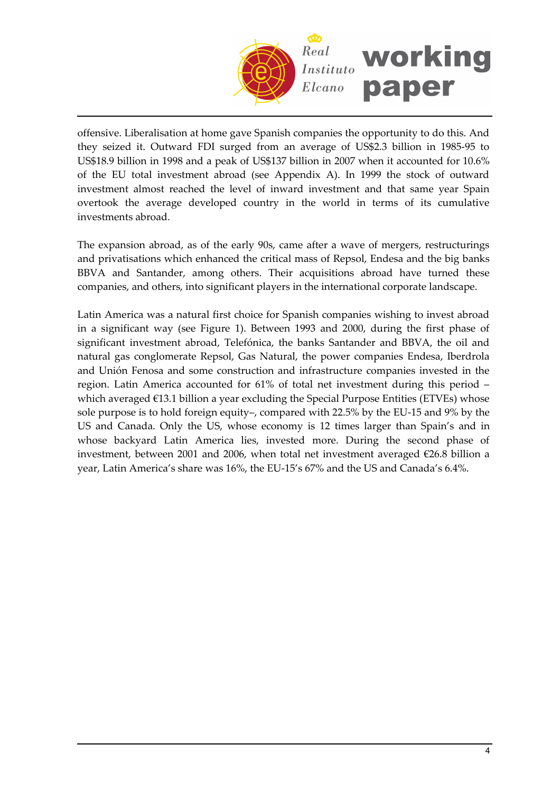

offensive. Liberalisation at home gave Spanish companies the opportunity to do this. And they seized it. Outward FDI surged from an average of US\$2.3 billion in 1985-95 to US\$18.9 billion in 1998 and a peak of US\$137 billion in 2007 when it accounted for 10.6% of the EU total investment abroad (see Appendix A). In 1999 the stock of outward investment almost reached the level of inward investment and that same year Spain overtook the average developed country in the world in terms of its cumulative investments abroad.

The expansion abroad, as of the early 90s, came after a wave of mergers, restructurings and privatisations which enhanced the critical mass of Repsol, Endesa and the big banks BBVA and Santander, among others. Their acquisitions abroad have turned these companies, and others, into significant players in the international corporate landscape.

Latin America was a natural first choice for Spanish companies wishing to invest abroad in a significant way (see Figure 1). Between 1993 and 2000, during the first phase of significant investment abroad, Telefónica, the banks Santander and BBVA, the oil and natural gas conglomerate Repsol, Gas Natural, the power companies Endesa, Iberdrola and Unión Fenosa and some construction and infrastructure companies invested in the region. Latin America accounted for 61% of total net investment during this period – which averaged €13.1 billion a year excluding the Special Purpose Entities (ETVEs) whose sole purpose is to hold foreign equity–, compared with 22.5% by the EU-15 and 9% by the US and Canada. Only the US, whose economy is 12 times larger than Spain's and in whose backyard Latin America lies, invested more. During the second phase of investment, between 2001 and 2006, when total net investment averaged €26.8 billion a year, Latin America's share was 16%, the EU-15's 67% and the US and Canada's 6.4%.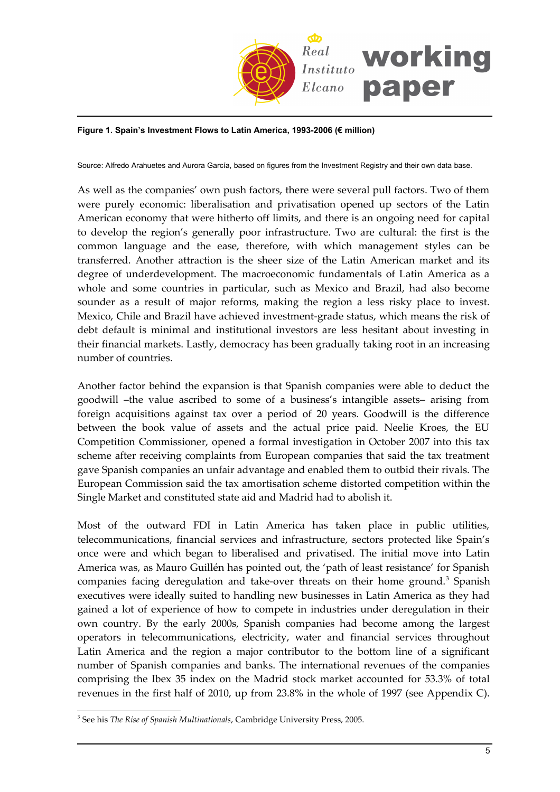

**Figure 1. Spain's Investment Flows to Latin America, 1993-2006 (€ million)**

Source: Alfredo Arahuetes and Aurora García, based on figures from the Investment Registry and their own data base.

As well as the companies' own push factors, there were several pull factors. Two of them were purely economic: liberalisation and privatisation opened up sectors of the Latin American economy that were hitherto off limits, and there is an ongoing need for capital to develop the region's generally poor infrastructure. Two are cultural: the first is the common language and the ease, therefore, with which management styles can be transferred. Another attraction is the sheer size of the Latin American market and its degree of underdevelopment. The macroeconomic fundamentals of Latin America as a whole and some countries in particular, such as Mexico and Brazil, had also become sounder as a result of major reforms, making the region a less risky place to invest. Mexico, Chile and Brazil have achieved investment-grade status, which means the risk of debt default is minimal and institutional investors are less hesitant about investing in their financial markets. Lastly, democracy has been gradually taking root in an increasing number of countries.

Another factor behind the expansion is that Spanish companies were able to deduct the goodwill –the value ascribed to some of a business's intangible assets– arising from foreign acquisitions against tax over a period of 20 years. Goodwill is the difference between the book value of assets and the actual price paid. Neelie Kroes, the EU Competition Commissioner, opened a formal investigation in October 2007 into this tax scheme after receiving complaints from European companies that said the tax treatment gave Spanish companies an unfair advantage and enabled them to outbid their rivals. The European Commission said the tax amortisation scheme distorted competition within the Single Market and constituted state aid and Madrid had to abolish it.

Most of the outward FDI in Latin America has taken place in public utilities, telecommunications, financial services and infrastructure, sectors protected like Spain's once were and which began to liberalised and privatised. The initial move into Latin America was, as Mauro Guillén has pointed out, the 'path of least resistance' for Spanish companies facing deregulation and take-over threats on their home ground.<sup>[3](#page-4-0)</sup> Spanish executives were ideally suited to handling new businesses in Latin America as they had gained a lot of experience of how to compete in industries under deregulation in their own country. By the early 2000s, Spanish companies had become among the largest operators in telecommunications, electricity, water and financial services throughout Latin America and the region a major contributor to the bottom line of a significant number of Spanish companies and banks. The international revenues of the companies comprising the Ibex 35 index on the Madrid stock market accounted for 53.3% of total revenues in the first half of 2010, up from 23.8% in the whole of 1997 (see Appendix C).

<span id="page-4-0"></span><sup>3</sup> See his *The Rise of Spanish Multinationals*, Cambridge University Press, 2005.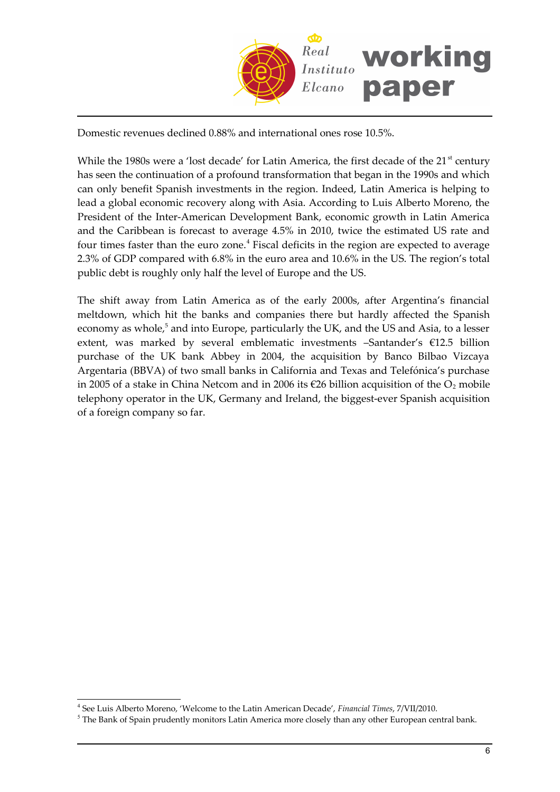

Domestic revenues declined 0.88% and international ones rose 10.5%.

While the 1980s were a 'lost decade' for Latin America, the first decade of the  $21<sup>st</sup>$  century has seen the continuation of a profound transformation that began in the 1990s and which can only benefit Spanish investments in the region. Indeed, Latin America is helping to lead a global economic recovery along with Asia. According to Luis Alberto Moreno, the President of the Inter-American Development Bank, economic growth in Latin America and the Caribbean is forecast to average 4.5% in 2010, twice the estimated US rate and four times faster than the euro zone.<sup>[4](#page-5-0)</sup> Fiscal deficits in the region are expected to average 2.3% of GDP compared with 6.8% in the euro area and 10.6% in the US. The region's total public debt is roughly only half the level of Europe and the US.

The shift away from Latin America as of the early 2000s, after Argentina's financial meltdown, which hit the banks and companies there but hardly affected the Spanish economy as whole,<sup>[5](#page-5-1)</sup> and into Europe, particularly the UK, and the US and Asia, to a lesser extent, was marked by several emblematic investments –Santander's €12.5 billion purchase of the UK bank Abbey in 2004, the acquisition by Banco Bilbao Vizcaya Argentaria (BBVA) of two small banks in California and Texas and Telefónica's purchase in 2005 of a stake in China Netcom and in 2006 its  $\epsilon$ 26 billion acquisition of the O<sub>2</sub> mobile telephony operator in the UK, Germany and Ireland, the biggest-ever Spanish acquisition of a foreign company so far.

<span id="page-5-0"></span><sup>4</sup> See Luis Alberto Moreno, 'Welcome to the Latin American Decade', *Financial Times*, 7/VII/2010.

<span id="page-5-1"></span> $5$  The Bank of Spain prudently monitors Latin America more closely than any other European central bank.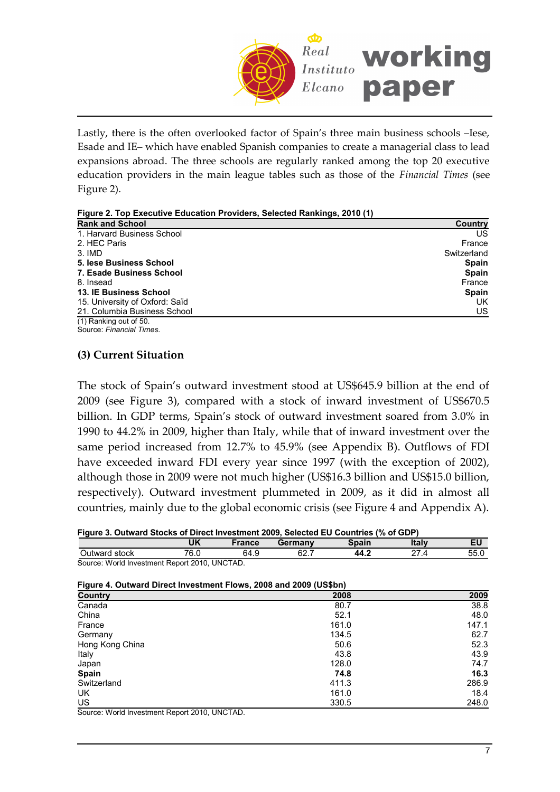

Lastly, there is the often overlooked factor of Spain's three main business schools –Iese, Esade and IE– which have enabled Spanish companies to create a managerial class to lead expansions abroad. The three schools are regularly ranked among the top 20 executive education providers in the main league tables such as those of the *Financial Times* (see Figure 2).

**Figure 2. Top Executive Education Providers, Selected Rankings, 2010 (1)**

| <b>Rank and School</b>         | <b>Country</b> |
|--------------------------------|----------------|
| 1. Harvard Business School     | US             |
| 2. HEC Paris                   | France         |
| 3. IMD                         | Switzerland    |
| 5. lese Business School        | <b>Spain</b>   |
| 7. Esade Business School       | <b>Spain</b>   |
| 8. Insead                      | France         |
| <b>13. IE Business School</b>  | <b>Spain</b>   |
| 15. University of Oxford: Saïd | UK             |
| 21. Columbia Business School   | US             |
| (1) Ranking out of 50.         |                |

Source: *Financial Times*.

# **(3) Current Situation**

The stock of Spain's outward investment stood at US\$645.9 billion at the end of 2009 (see Figure 3), compared with a stock of inward investment of US\$670.5 billion. In GDP terms, Spain's stock of outward investment soared from 3.0% in 1990 to 44.2% in 2009, higher than Italy, while that of inward investment over the same period increased from 12.7% to 45.9% (see Appendix B). Outflows of FDI have exceeded inward FDI every year since 1997 (with the exception of 2002), although those in 2009 were not much higher (US\$16.3 billion and US\$15.0 billion, respectively). Outward investment plummeted in 2009, as it did in almost all countries, mainly due to the global economic crisis (see Figure 4 and Appendix A).

|  |  | Figure 3. Outward Stocks of Direct Investment 2009, Selected EU Countries (% of GDP) |  |  |  |  |
|--|--|--------------------------------------------------------------------------------------|--|--|--|--|
|--|--|--------------------------------------------------------------------------------------|--|--|--|--|

|                                             | $\blacksquare$<br>$\sim$ | rance | Germany                | <b>Cnain</b><br>∍van. | Italy | ---            |
|---------------------------------------------|--------------------------|-------|------------------------|-----------------------|-------|----------------|
| stock<br>Outward                            | 76<br>v.v                | 64.9  | $\sim$ $\sim$<br>94. I | 11<br>.               | ~-    | $\sim$<br>JJ.U |
| Course: Wedd Investment Denaut 0040 UNICTAD |                          |       |                        |                       |       |                |

| Source: World Investment Report 2010, UNCTAD. |  |  |
|-----------------------------------------------|--|--|
|-----------------------------------------------|--|--|

|  |  | Figure 4. Outward Direct Investment Flows, 2008 and 2009 (US\$bn) |  |  |  |
|--|--|-------------------------------------------------------------------|--|--|--|
|  |  |                                                                   |  |  |  |

| —               | $\overline{\phantom{a}}$ |       |  |  |
|-----------------|--------------------------|-------|--|--|
| <b>Country</b>  | 2008                     | 2009  |  |  |
| Canada          | 80.7                     | 38.8  |  |  |
| China           | 52.1                     | 48.0  |  |  |
| France          | 161.0                    | 147.1 |  |  |
| Germany         | 134.5                    | 62.7  |  |  |
| Hong Kong China | 50.6                     | 52.3  |  |  |
| Italy           | 43.8                     | 43.9  |  |  |
| Japan           | 128.0                    | 74.7  |  |  |
| <b>Spain</b>    | 74.8                     | 16.3  |  |  |
| Switzerland     | 411.3                    | 286.9 |  |  |
| UK              | 161.0                    | 18.4  |  |  |
| US              | 330.5                    | 248.0 |  |  |

Source: World Investment Report 2010, UNCTAD.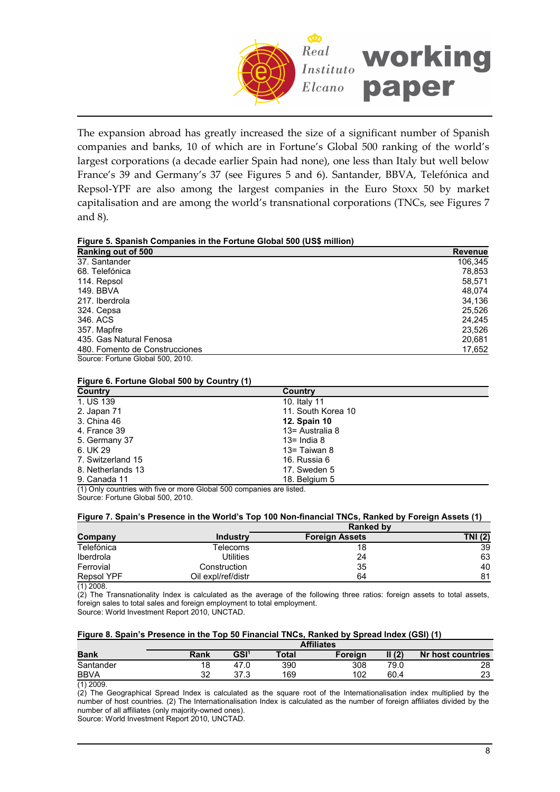

The expansion abroad has greatly increased the size of a significant number of Spanish companies and banks, 10 of which are in Fortune's Global 500 ranking of the world's largest corporations (a decade earlier Spain had none), one less than Italy but well below France's 39 and Germany's 37 (see Figures 5 and 6). Santander, BBVA, Telefónica and Repsol-YPF are also among the largest companies in the Euro Stoxx 50 by market capitalisation and are among the world's transnational corporations (TNCs, see Figures 7 and 8).

#### **Figure 5. Spanish Companies in the Fortune Global 500 (US\$ million)**

| Ranking out of 500              | <b>Revenue</b> |
|---------------------------------|----------------|
| 37. Santander                   | 106,345        |
| 68. Telefónica                  | 78,853         |
| 114. Repsol                     | 58,571         |
| 149. BBVA                       | 48.074         |
| 217. Iberdrola                  | 34.136         |
| 324. Cepsa                      | 25,526         |
| 346. ACS                        | 24.245         |
| 357. Mapfre                     | 23,526         |
| 435. Gas Natural Fenosa         | 20,681         |
| 480. Fomento de Construcciones  | 17,652         |
| Source: Eortung Clobal 500 2010 |                |

Source: Fortune Global 500, 2010.

#### **Figure 6. Fortune Global 500 by Country (1)**

| <b>Country</b>    | Country             |
|-------------------|---------------------|
| 1. US 139         | 10. Italy 11        |
| 2. Japan 71       | 11. South Korea 10  |
| 3. China 46       | <b>12. Spain 10</b> |
| 4. France 39      | 13 = Australia 8    |
| 5. Germany 37     | $13$ = India 8      |
| 6. UK 29          | 13= Taiwan 8        |
| 7. Switzerland 15 | 16. Russia 6        |
| 8. Netherlands 13 | 17. Sweden 5        |
| 9. Canada 11      | 18. Belgium 5       |

(1) Only countries with five or more Global 500 companies are listed.

Source: Fortune Global 500, 2010.

#### **Figure 7. Spain's Presence in the World's Top 100 Non-financial TNCs, Ranked by Foreign Assets (1)**

|             | <b>Ranked by</b>   |                       |                |  |  |
|-------------|--------------------|-----------------------|----------------|--|--|
| Company     | <b>Industry</b>    | <b>Foreign Assets</b> | <b>TNI</b> (2) |  |  |
| Telefónica  | Telecoms           | 18                    | 39             |  |  |
| Iberdrola   | Utilities          | 24                    | 63             |  |  |
| Ferrovial   | Construction       | 35                    | 40             |  |  |
| Repsol YPF  | Oil expl/ref/distr | 64                    | 81             |  |  |
| $(1)$ 2008. |                    |                       |                |  |  |

(2) The Transnationality Index is calculated as the average of the following three ratios: foreign assets to total assets, foreign sales to total sales and foreign employment to total employment.

Source: World Investment Report 2010, UNCTAD.

#### **Figure 8. Spain's Presence in the Top 50 Financial TNCs, Ranked by Spread Index (GSI) (1)**

|                          | <b>Affiliates</b> |                  |             |                |       |                   |
|--------------------------|-------------------|------------------|-------------|----------------|-------|-------------------|
| <b>Bank</b>              | Rank              | GSI <sup>1</sup> | $\tau$ otal | <b>Foreign</b> | II(2) | Nr host countries |
| Santander                |                   | 47.0             | 390         | 308            | 79.0  | 28                |
| <b>BBVA</b>              | າາ<br>ےں          | 37.3             | 169         | 102            | 60.4  | າາ<br>∠∪          |
| $\overline{\phantom{a}}$ |                   |                  |             |                |       |                   |

 $(1)$  2009.

(2) The Geographical Spread Index is calculated as the square root of the Internationalisation index multiplied by the number of host countries. (2) The Internationalisation Index is calculated as the number of foreign affiliates divided by the number of all affiliates (only majority-owned ones). Source: World Investment Report 2010, UNCTAD.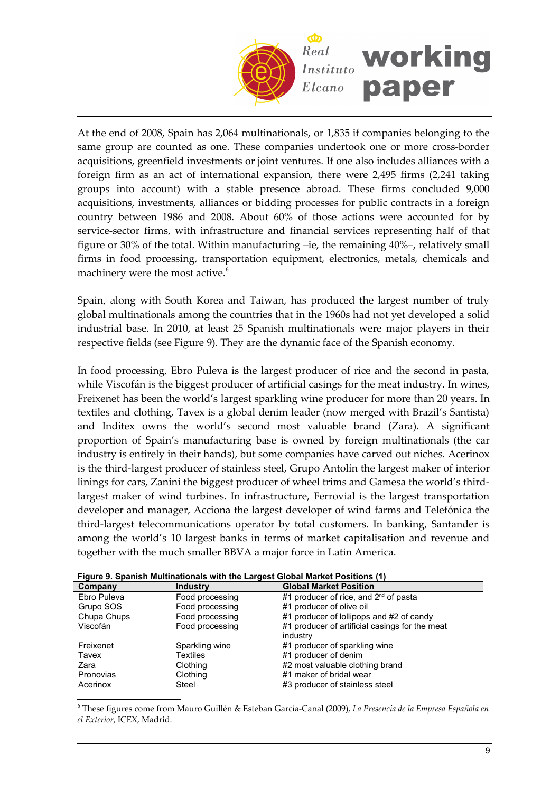

At the end of 2008, Spain has 2,064 multinationals, or 1,835 if companies belonging to the same group are counted as one. These companies undertook one or more cross-border acquisitions, greenfield investments or joint ventures. If one also includes alliances with a foreign firm as an act of international expansion, there were 2,495 firms (2,241 taking groups into account) with a stable presence abroad. These firms concluded 9,000 acquisitions, investments, alliances or bidding processes for public contracts in a foreign country between 1986 and 2008. About 60% of those actions were accounted for by service-sector firms, with infrastructure and financial services representing half of that figure or 30% of the total. Within manufacturing –ie, the remaining 40%–, relatively small firms in food processing, transportation equipment, electronics, metals, chemicals and machinery were the most active.<sup>[6](#page-8-0)</sup>

Spain, along with South Korea and Taiwan, has produced the largest number of truly global multinationals among the countries that in the 1960s had not yet developed a solid industrial base. In 2010, at least 25 Spanish multinationals were major players in their respective fields (see Figure 9). They are the dynamic face of the Spanish economy.

In food processing, Ebro Puleva is the largest producer of rice and the second in pasta, while Viscofán is the biggest producer of artificial casings for the meat industry. In wines, Freixenet has been the world's largest sparkling wine producer for more than 20 years. In textiles and clothing, Tavex is a global denim leader (now merged with Brazil's Santista) and Inditex owns the world's second most valuable brand (Zara). A significant proportion of Spain's manufacturing base is owned by foreign multinationals (the car industry is entirely in their hands), but some companies have carved out niches. Acerinox is the third-largest producer of stainless steel, Grupo Antolín the largest maker of interior linings for cars, Zanini the biggest producer of wheel trims and Gamesa the world's thirdlargest maker of wind turbines. In infrastructure, Ferrovial is the largest transportation developer and manager, Acciona the largest developer of wind farms and Telefónica the third-largest telecommunications operator by total customers. In banking, Santander is among the world's 10 largest banks in terms of market capitalisation and revenue and together with the much smaller BBVA a major force in Latin America.

| Company     | $\cdots$ , and the contract of the contract of the contract of the contract of the contract of $\cdots$<br><b>Industry</b> | <b>Global Market Position</b>                  |
|-------------|----------------------------------------------------------------------------------------------------------------------------|------------------------------------------------|
| Ebro Puleva | Food processing                                                                                                            | #1 producer of rice, and $2^{nd}$ of pasta     |
| Grupo SOS   | Food processing                                                                                                            | #1 producer of olive oil                       |
| Chupa Chups | Food processing                                                                                                            | #1 producer of lollipops and #2 of candy       |
| Viscofán    | Food processing                                                                                                            | #1 producer of artificial casings for the meat |
|             |                                                                                                                            | industry                                       |
| Freixenet   | Sparkling wine                                                                                                             | #1 producer of sparkling wine                  |
| Tavex       | Textiles                                                                                                                   | #1 producer of denim                           |
| Zara        | Clothing                                                                                                                   | #2 most valuable clothing brand                |
| Pronovias   | Clothing                                                                                                                   | #1 maker of bridal wear                        |
| Acerinox    | Steel                                                                                                                      | #3 producer of stainless steel                 |

|  |  | Figure 9. Spanish Multinationals with the Largest Global Market Positions (1) |  |  |  |  |  |  |  |
|--|--|-------------------------------------------------------------------------------|--|--|--|--|--|--|--|
|--|--|-------------------------------------------------------------------------------|--|--|--|--|--|--|--|

<span id="page-8-0"></span>6 These figures come from Mauro Guillén & Esteban García-Canal (2009), *La Presencia de la Empresa Española en el Exterior*, ICEX, Madrid.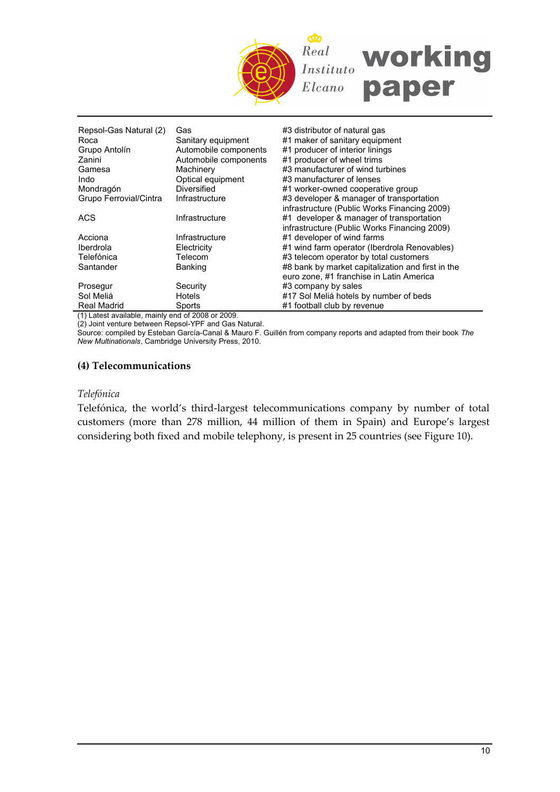

| Repsol-Gas Natural (2)                            | Gas                   | #3 distributor of natural gas                     |
|---------------------------------------------------|-----------------------|---------------------------------------------------|
| Roca                                              | Sanitary equipment    | #1 maker of sanitary equipment                    |
| Grupo Antolín                                     | Automobile components | #1 producer of interior linings                   |
| Zanini                                            | Automobile components | #1 producer of wheel trims                        |
| Gamesa                                            | Machinery             | #3 manufacturer of wind turbines                  |
| Indo                                              | Optical equipment     | #3 manufacturer of lenses                         |
| Mondragón                                         | Diversified           | #1 worker-owned cooperative group                 |
| Grupo Ferrovial/Cintra                            | Infrastructure        | #3 developer & manager of transportation          |
|                                                   |                       | infrastructure (Public Works Financing 2009)      |
| ACS                                               | Infrastructure        | #1 developer & manager of transportation          |
|                                                   |                       | infrastructure (Public Works Financing 2009)      |
| Acciona                                           | Infrastructure        | #1 developer of wind farms                        |
| Iberdrola                                         | Electricity           | #1 wind farm operator (Iberdrola Renovables)      |
| Telefónica                                        | Telecom               | #3 telecom operator by total customers            |
| Santander                                         | Banking               | #8 bank by market capitalization and first in the |
|                                                   |                       | euro zone, #1 franchise in Latin America          |
| Prosegur                                          | Security              | #3 company by sales                               |
| Sol Meliá                                         | Hotels                | #17 Sol Meliá hotels by number of beds            |
| <b>Real Madrid</b>                                | Sports                | #1 football club by revenue                       |
| $(4)$ Latest quailable mainly and of 2008 as 2000 |                       |                                                   |

(1) Latest available, mainly end of 2008 or 2009.

(2) Joint venture between Repsol-YPF and Gas Natural.

Source: compiled by Esteban García-Canal & Mauro F. Guillén from company reports and adapted from their book *The New Multinationals*, Cambridge University Press, 2010.

#### **(4) Telecommunications**

#### *Telefónica*

Telefónica, the world's third-largest telecommunications company by number of total customers (more than 278 million, 44 million of them in Spain) and Europe's largest considering both fixed and mobile telephony, is present in 25 countries (see Figure 10).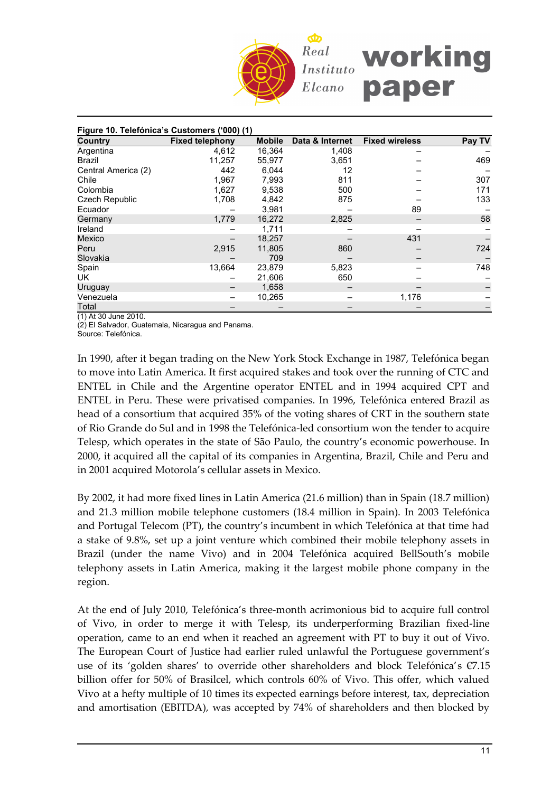

| Figure 10. Telefónica's Customers ('000) (1) |                        |               |                 |                       |        |  |
|----------------------------------------------|------------------------|---------------|-----------------|-----------------------|--------|--|
| Country                                      | <b>Fixed telephony</b> | <b>Mobile</b> | Data & Internet | <b>Fixed wireless</b> | Pay TV |  |
| Argentina                                    | 4.612                  | 16,364        | 1,408           |                       |        |  |
| Brazil                                       | 11,257                 | 55,977        | 3,651           |                       | 469    |  |
| Central America (2)                          | 442                    | 6,044         | 12              |                       |        |  |
| Chile                                        | 1,967                  | 7,993         | 811             |                       | 307    |  |
| Colombia                                     | 1,627                  | 9,538         | 500             |                       | 171    |  |
| <b>Czech Republic</b>                        | 1,708                  | 4,842         | 875             |                       | 133    |  |
| Ecuador                                      |                        | 3,981         |                 | 89                    |        |  |
| Germany                                      | 1,779                  | 16,272        | 2,825           |                       | 58     |  |
| Ireland                                      |                        | 1,711         |                 |                       |        |  |
| Mexico                                       |                        | 18,257        |                 | 431                   |        |  |
| Peru                                         | 2,915                  | 11.805        | 860             |                       | 724    |  |
| Slovakia                                     |                        | 709           |                 |                       |        |  |
| Spain                                        | 13.664                 | 23.879        | 5,823           |                       | 748    |  |
| UK                                           |                        | 21,606        | 650             |                       |        |  |
| Uruguay                                      |                        | 1,658         |                 |                       |        |  |
| Venezuela                                    |                        | 10,265        |                 | 1,176                 |        |  |
| Total                                        |                        |               |                 |                       |        |  |

(1) At 30 June 2010.

(2) El Salvador, Guatemala, Nicaragua and Panama.

Source: Telefónica.

In 1990, after it began trading on the New York Stock Exchange in 1987, Telefónica began to move into Latin America. It first acquired stakes and took over the running of CTC and ENTEL in Chile and the Argentine operator ENTEL and in 1994 acquired CPT and ENTEL in Peru. These were privatised companies. In 1996, Telefónica entered Brazil as head of a consortium that acquired 35% of the voting shares of CRT in the southern state of Rio Grande do Sul and in 1998 the Telefónica-led consortium won the tender to acquire Telesp, which operates in the state of São Paulo, the country's economic powerhouse. In 2000, it acquired all the capital of its companies in Argentina, Brazil, Chile and Peru and in 2001 acquired Motorola's cellular assets in Mexico.

By 2002, it had more fixed lines in Latin America (21.6 million) than in Spain (18.7 million) and 21.3 million mobile telephone customers (18.4 million in Spain). In 2003 Telefónica and Portugal Telecom (PT), the country's incumbent in which Telefónica at that time had a stake of 9.8%, set up a joint venture which combined their mobile telephony assets in Brazil (under the name Vivo) and in 2004 Telefónica acquired BellSouth's mobile telephony assets in Latin America, making it the largest mobile phone company in the region.

At the end of July 2010, Telefónica's three-month acrimonious bid to acquire full control of Vivo, in order to merge it with Telesp, its underperforming Brazilian fixed-line operation, came to an end when it reached an agreement with PT to buy it out of Vivo. The European Court of Justice had earlier ruled unlawful the Portuguese government's use of its 'golden shares' to override other shareholders and block Telefónica's  $\epsilon$ 7.15 billion offer for 50% of Brasilcel, which controls 60% of Vivo. This offer, which valued Vivo at a hefty multiple of 10 times its expected earnings before interest, tax, depreciation and amortisation (EBITDA), was accepted by 74% of shareholders and then blocked by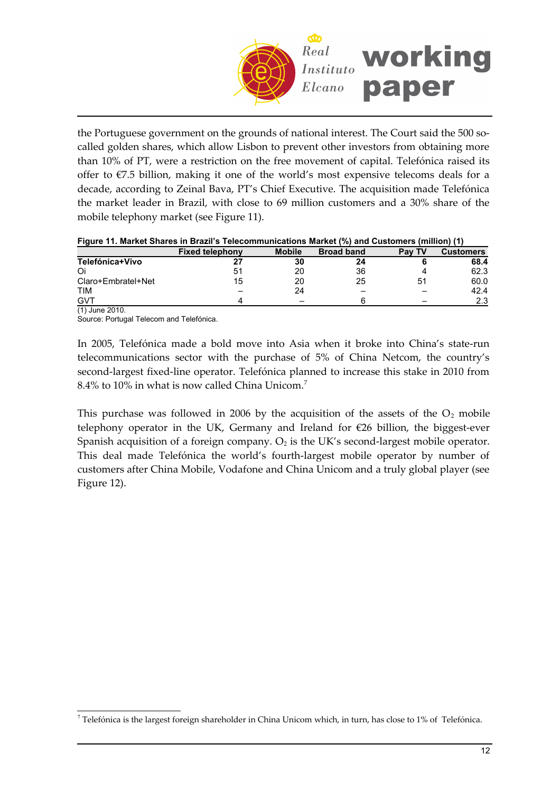

the Portuguese government on the grounds of national interest. The Court said the 500 socalled golden shares, which allow Lisbon to prevent other investors from obtaining more than 10% of PT, were a restriction on the free movement of capital. Telefónica raised its offer to  $\epsilon$ 7.5 billion, making it one of the world's most expensive telecoms deals for a decade, according to Zeinal Bava, PT's Chief Executive. The acquisition made Telefónica the market leader in Brazil, with close to 69 million customers and a 30% share of the mobile telephony market (see Figure 11).

| Figure 11. Market Shares in Brazil's Telecommunications Market (%) and Customers (million) (1) |  |
|------------------------------------------------------------------------------------------------|--|
|                                                                                                |  |

|                    | <b>Fixed telephony</b> | <b>Mobile</b> | <b>Broad band</b> | Pay TV | <b>Customers</b> |
|--------------------|------------------------|---------------|-------------------|--------|------------------|
| Telefónica+Vivo    |                        | 30            | 24                |        | 68.4             |
| Oi                 |                        | 20            | 36                |        | 62.3             |
| Claro+Embratel+Net | 15                     | 20            | 25                | 51     | 60.0             |
| <b>TIM</b>         |                        | 24            |                   |        | 42.4             |
| GVT                |                        |               |                   |        | 2.3              |

(1) June 2010.

Source: Portugal Telecom and Telefónica.

In 2005, Telefónica made a bold move into Asia when it broke into China's state-run telecommunications sector with the purchase of 5% of China Netcom, the country's second-largest fixed-line operator. Telefónica planned to increase this stake in 2010 from 8.4% to 10% in what is now called China Unicom.[7](#page-11-0)

This purchase was followed in 2006 by the acquisition of the assets of the  $O_2$  mobile telephony operator in the UK, Germany and Ireland for  $E26$  billion, the biggest-ever Spanish acquisition of a foreign company.  $O_2$  is the UK's second-largest mobile operator. This deal made Telefónica the world's fourth-largest mobile operator by number of customers after China Mobile, Vodafone and China Unicom and a truly global player (see Figure 12).

<span id="page-11-0"></span> $^7$  Telefónica is the largest foreign shareholder in China Unicom which, in turn, has close to 1% of Telefónica.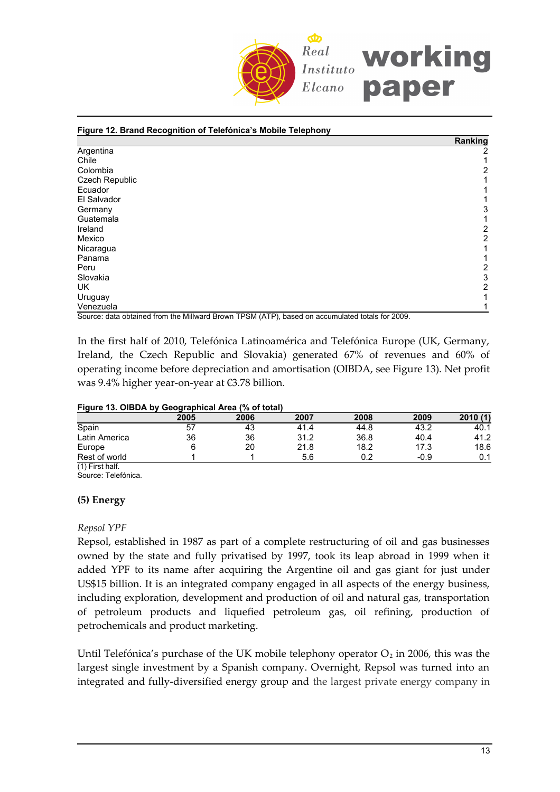

| Figure 12. Brand Recognition of Telefónica's Mobile Telephony |                |  |  |  |
|---------------------------------------------------------------|----------------|--|--|--|
|                                                               | Ranking        |  |  |  |
| Argentina                                                     | 2              |  |  |  |
| Chile                                                         |                |  |  |  |
| Colombia                                                      | $\overline{2}$ |  |  |  |
| Czech Republic                                                |                |  |  |  |
| Ecuador                                                       |                |  |  |  |
| El Salvador                                                   |                |  |  |  |
| Germany                                                       | 3              |  |  |  |
| Guatemala                                                     |                |  |  |  |
| Ireland                                                       | 2              |  |  |  |
| Mexico                                                        | $\overline{2}$ |  |  |  |
| Nicaragua                                                     |                |  |  |  |
| Panama                                                        |                |  |  |  |
| Peru                                                          | 2              |  |  |  |
| Slovakia                                                      | 3              |  |  |  |
| UK                                                            | 2              |  |  |  |
| Uruguay                                                       |                |  |  |  |
| Venezuela                                                     |                |  |  |  |

Source: data obtained from the Millward Brown TPSM (ATP), based on accumulated totals for 2009.

In the first half of 2010, Telefónica Latinoamérica and Telefónica Europe (UK, Germany, Ireland, the Czech Republic and Slovakia) generated 67% of revenues and 60% of operating income before depreciation and amortisation (OIBDA, see Figure 13). Net profit was 9.4% higher year-on-year at €3.78 billion.

#### **Figure 13. OIBDA by Geographical Area (% of total)**

| <br>. <i>.</i>                    |      |      |      |      |        |         |
|-----------------------------------|------|------|------|------|--------|---------|
|                                   | 2005 | 2006 | 2007 | 2008 | 2009   | 2010(1) |
| Spain                             | 57   | 43   | 41.4 | 44.8 | 43.2   | 40.1    |
| Latin America                     | 36   | 36   | 31.2 | 36.8 | 40.4   | 41.2    |
| Europe                            |      | 20   | 21.8 | 18.2 | 17.3   | 18.6    |
| Rest of world                     |      |      | 5.6  | 0.2  | $-0.9$ | 0.1     |
| $(4)$ $\Box$ $\Box$ $\Box$ $\Box$ |      |      |      |      |        |         |

(1) First half. Source: Telefónica.

#### **(5) Energy**

#### *Repsol YPF*

Repsol, established in 1987 as part of a complete restructuring of oil and gas businesses owned by the state and fully privatised by 1997, took its leap abroad in 1999 when it added YPF to its name after acquiring the Argentine oil and gas giant for just under US\$15 billion. It is an integrated company engaged in all aspects of the energy business, including exploration, development and production of oil and natural gas, transportation of petroleum products and liquefied petroleum gas, oil refining, production of petrochemicals and product marketing.

Until Telefónica's purchase of the UK mobile telephony operator  $O_2$  in 2006, this was the largest single investment by a Spanish company. Overnight, Repsol was turned into an integrated and fully-diversified energy group and the largest private energy company in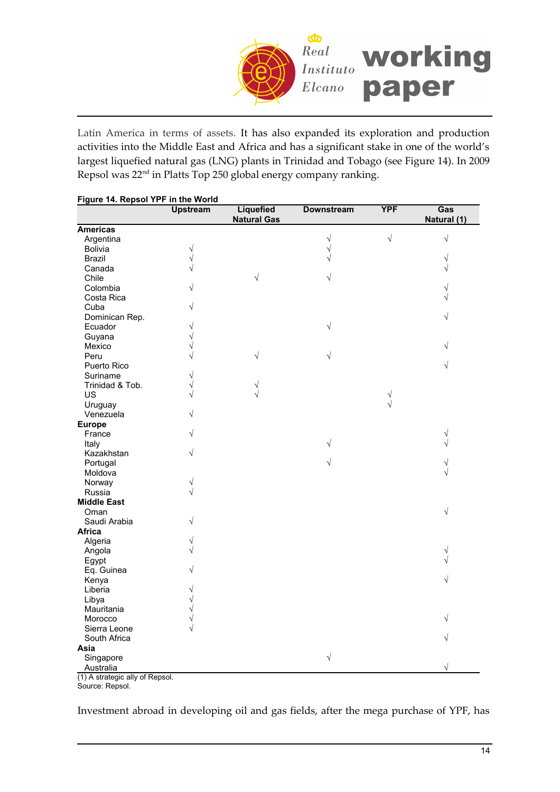

Latin America in terms of assets. It has also expanded its exploration and production activities into the Middle East and Africa and has a significant stake in one of the world's largest liquefied natural gas (LNG) plants in Trinidad and Tobago (see Figure 14). In 2009 Repsol was  $22^{nd}$  in Platts Top 250 global energy company ranking.

| Figure 14. Repsol YPF in the World | <b>Upstream</b> | Liquefied          | <b>Downstream</b> | <b>YPF</b> | Gas         |
|------------------------------------|-----------------|--------------------|-------------------|------------|-------------|
|                                    |                 | <b>Natural Gas</b> |                   |            | Natural (1) |
| <b>Americas</b>                    |                 |                    |                   |            |             |
| Argentina                          |                 |                    | $\sqrt{}$         | $\sqrt{}$  | $\sqrt{}$   |
| <b>Bolivia</b>                     | V               |                    | $\sqrt{}$         |            |             |
| Brazil                             |                 |                    |                   |            |             |
| Canada                             |                 |                    |                   |            |             |
| Chile                              |                 | $\sqrt{}$          | $\sqrt{}$         |            |             |
| Colombia                           |                 |                    |                   |            |             |
| Costa Rica                         |                 |                    |                   |            |             |
| Cuba                               | V               |                    |                   |            |             |
| Dominican Rep.                     |                 |                    |                   |            | $\sqrt{}$   |
| Ecuador                            | V               |                    | $\sqrt{}$         |            |             |
| Guyana                             | $\sqrt{}$       |                    |                   |            |             |
| Mexico                             | V               |                    |                   |            | V           |
| Peru                               |                 | $\sqrt{}$          | $\sqrt{}$         |            |             |
| Puerto Rico                        |                 |                    |                   |            |             |
| Suriname                           | $\sqrt{}$       |                    |                   |            |             |
| Trinidad & Tob.                    |                 |                    |                   |            |             |
| US.                                | $\sqrt{}$       |                    |                   | V          |             |
| Uruguay                            |                 |                    |                   |            |             |
| Venezuela                          | $\sqrt{}$       |                    |                   |            |             |
| <b>Europe</b>                      |                 |                    |                   |            |             |
| France                             | $\sqrt{ }$      |                    |                   |            | $\sqrt{}$   |
| Italy                              |                 |                    | $\sqrt{}$         |            |             |
| Kazakhstan                         | $\sqrt{}$       |                    |                   |            |             |
| Portugal                           |                 |                    | $\sqrt{}$         |            |             |
| Moldova                            |                 |                    |                   |            |             |
| Norway                             | V               |                    |                   |            |             |
| Russia                             | $\sqrt{}$       |                    |                   |            |             |
| <b>Middle East</b>                 |                 |                    |                   |            |             |
| Oman                               |                 |                    |                   |            | $\sqrt{}$   |
| Saudi Arabia                       | $\sqrt{}$       |                    |                   |            |             |
| Africa                             |                 |                    |                   |            |             |
| Algeria                            |                 |                    |                   |            |             |
| Angola                             |                 |                    |                   |            |             |
| Egypt                              |                 |                    |                   |            |             |
| Eq. Guinea                         |                 |                    |                   |            |             |
| Kenya                              |                 |                    |                   |            |             |
| Liberia                            | V               |                    |                   |            |             |
| Libya                              |                 |                    |                   |            |             |
| Mauritania                         | V<br>V<br>V     |                    |                   |            |             |
| Morocco                            |                 |                    |                   |            | V           |
| Sierra Leone                       |                 |                    |                   |            |             |
| South Africa                       |                 |                    |                   |            | V           |
| Asia                               |                 |                    |                   |            |             |
| Singapore                          |                 |                    | $\sqrt{}$         |            |             |
| Australia                          |                 |                    |                   |            |             |

(1) A strategic ally of Repsol.

Source: Repsol.

Investment abroad in developing oil and gas fields, after the mega purchase of YPF, has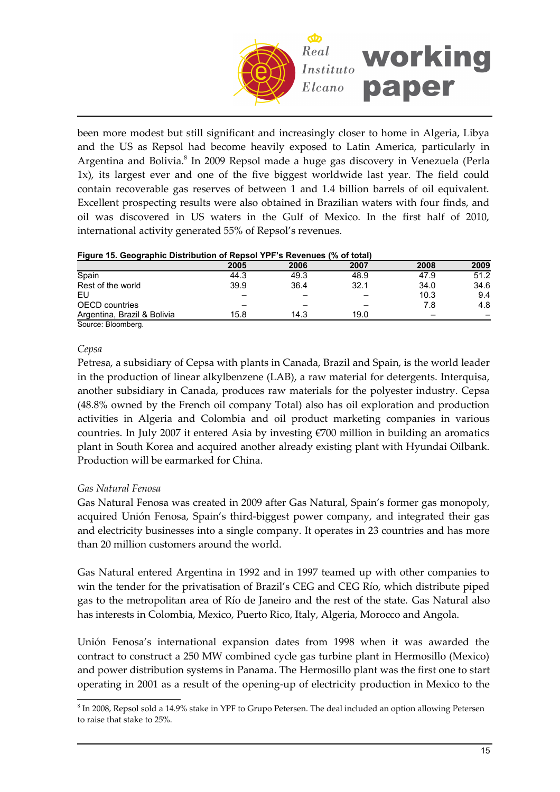

been more modest but still significant and increasingly closer to home in Algeria, Libya and the US as Repsol had become heavily exposed to Latin America, particularly in Argentina and Bolivia.<sup>[8](#page-14-0)</sup> In 2009 Repsol made a huge gas discovery in Venezuela (Perla 1x), its largest ever and one of the five biggest worldwide last year. The field could contain recoverable gas reserves of between 1 and 1.4 billion barrels of oil equivalent. Excellent prospecting results were also obtained in Brazilian waters with four finds, and oil was discovered in US waters in the Gulf of Mexico. In the first half of 2010, international activity generated 55% of Repsol's revenues.

|--|

|                             | 2005 | 2006 | 2007 | 2008 | 2009 |
|-----------------------------|------|------|------|------|------|
| Spain                       | 44.3 | 49.3 | 48.9 | 47.9 | 51.2 |
| Rest of the world           | 39.9 | 36.4 | 32.1 | 34.0 | 34.6 |
| EU                          |      |      |      | 10.3 | 9.4  |
| OECD countries              |      |      |      | 7.8  | 4.8  |
| Argentina, Brazil & Bolivia | 15.8 | 14.3 | 19.0 |      |      |
| Oranger District Low        |      |      |      |      |      |

Source: Bloomberg.

## *Cepsa*

Petresa, a subsidiary of Cepsa with plants in Canada, Brazil and Spain, is the world leader in the production of linear alkylbenzene (LAB), a raw material for detergents. Interquisa, another subsidiary in Canada, produces raw materials for the polyester industry. Cepsa (48.8% owned by the French oil company Total) also has oil exploration and production activities in Algeria and Colombia and oil product marketing companies in various countries. In July 2007 it entered Asia by investing €700 million in building an aromatics plant in South Korea and acquired another already existing plant with Hyundai Oilbank. Production will be earmarked for China.

# *Gas Natural Fenosa*

Gas Natural Fenosa was created in 2009 after Gas Natural, Spain's former gas monopoly, acquired Unión Fenosa, Spain's third-biggest power company, and integrated their gas and electricity businesses into a single company. It operates in 23 countries and has more than 20 million customers around the world.

Gas Natural entered Argentina in 1992 and in 1997 teamed up with other companies to win the tender for the privatisation of Brazil's CEG and CEG Río, which distribute piped gas to the metropolitan area of Río de Janeiro and the rest of the state. Gas Natural also has interests in Colombia, Mexico, Puerto Rico, Italy, Algeria, Morocco and Angola.

Unión Fenosa's international expansion dates from 1998 when it was awarded the contract to construct a 250 MW combined cycle gas turbine plant in Hermosillo (Mexico) and power distribution systems in Panama. The Hermosillo plant was the first one to start operating in 2001 as a result of the opening-up of electricity production in Mexico to the

<span id="page-14-0"></span><sup>&</sup>lt;sup>8</sup> In 2008, Repsol sold a 14.9% stake in YPF to Grupo Petersen. The deal included an option allowing Petersen to raise that stake to 25%.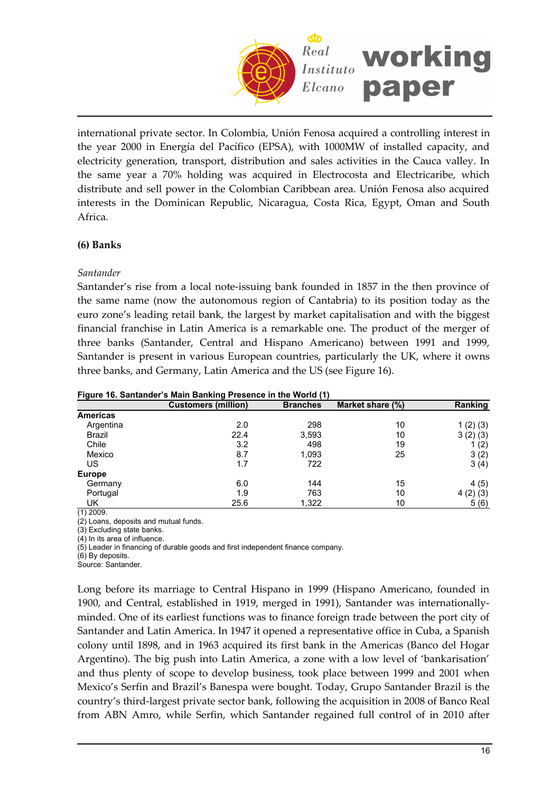

international private sector. In Colombia, Unión Fenosa acquired a controlling interest in the year 2000 in Energía del Pacífico (EPSA), with 1000MW of installed capacity, and electricity generation, transport, distribution and sales activities in the Cauca valley. In the same year a 70% holding was acquired in Electrocosta and Electricaribe, which distribute and sell power in the Colombian Caribbean area. Unión Fenosa also acquired interests in the Dominican Republic, Nicaragua, Costa Rica, Egypt, Oman and South Africa.

## **(6) Banks**

## *Santander*

Santander's rise from a local note-issuing bank founded in 1857 in the then province of the same name (now the autonomous region of Cantabria) to its position today as the euro zone's leading retail bank, the largest by market capitalisation and with the biggest financial franchise in Latin America is a remarkable one. The product of the merger of three banks (Santander, Central and Hispano Americano) between 1991 and 1999, Santander is present in various European countries, particularly the UK, where it owns three banks, and Germany, Latin America and the US (see Figure 16).

|                 | <b>Customers (million)</b> | <b>Branches</b> | Market share (%) | Ranking |
|-----------------|----------------------------|-----------------|------------------|---------|
| <b>Americas</b> |                            |                 |                  |         |
| Argentina       | 2.0                        | 298             | 10               | 1(2)(3) |
| Brazil          | 22.4                       | 3,593           | 10               | 3(2)(3) |
| Chile           | 3.2                        | 498             | 19               | 1(2)    |
| Mexico          | 8.7                        | 1,093           | 25               | 3(2)    |
| US              | 1.7                        | 722             |                  | 3(4)    |
| <b>Europe</b>   |                            |                 |                  |         |
| Germany         | 6.0                        | 144             | 15               | 4(5)    |
| Portugal        | 1.9                        | 763             | 10               | 4(2)(3) |
| UK              | 25.6                       | 1,322           | 10               | 5(6)    |

#### **Figure 16. Santander's Main Banking Presence in the World (1)**

 $(1)$  2009.

(2) Loans, deposits and mutual funds.

(3) Excluding state banks.

(4) In its area of influence.

(5) Leader in financing of durable goods and first independent finance company.

(6) By deposits.

Source: Santander.

Long before its marriage to Central Hispano in 1999 (Hispano Americano, founded in 1900, and Central, established in 1919, merged in 1991), Santander was internationallyminded. One of its earliest functions was to finance foreign trade between the port city of Santander and Latin America. In 1947 it opened a representative office in Cuba, a Spanish colony until 1898, and in 1963 acquired its first bank in the Americas (Banco del Hogar Argentino). The big push into Latin America, a zone with a low level of 'bankarisation' and thus plenty of scope to develop business, took place between 1999 and 2001 when Mexico's Serfin and Brazil's Banespa were bought. Today, Grupo Santander Brazil is the country's third-largest private sector bank, following the acquisition in 2008 of Banco Real from ABN Amro, while Serfin, which Santander regained full control of in 2010 after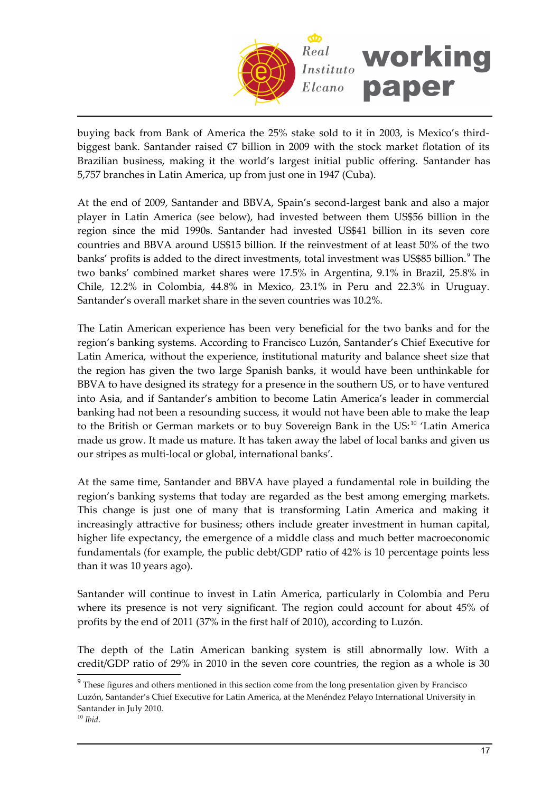

buying back from Bank of America the 25% stake sold to it in 2003, is Mexico's thirdbiggest bank. Santander raised €7 billion in 2009 with the stock market flotation of its Brazilian business, making it the world's largest initial public offering. Santander has 5,757 branches in Latin America, up from just one in 1947 (Cuba).

At the end of 2009, Santander and BBVA, Spain's second-largest bank and also a major player in Latin America (see below), had invested between them US\$56 billion in the region since the mid 1990s. Santander had invested US\$41 billion in its seven core countries and BBVA around US\$15 billion. If the reinvestment of at least 50% of the two banks' profits is added to the direct investments, total investment was US\$85 billion.<sup>[9](#page-16-0)</sup> The two banks' combined market shares were 17.5% in Argentina, 9.1% in Brazil, 25.8% in Chile, 12.2% in Colombia, 44.8% in Mexico, 23.1% in Peru and 22.3% in Uruguay. Santander's overall market share in the seven countries was 10.2%.

The Latin American experience has been very beneficial for the two banks and for the region's banking systems. According to Francisco Luzón, Santander's Chief Executive for Latin America, without the experience, institutional maturity and balance sheet size that the region has given the two large Spanish banks, it would have been unthinkable for BBVA to have designed its strategy for a presence in the southern US, or to have ventured into Asia, and if Santander's ambition to become Latin America's leader in commercial banking had not been a resounding success, it would not have been able to make the leap to the British or German markets or to buy Sovereign Bank in the US:<sup>[10](#page-16-1)</sup> 'Latin America made us grow. It made us mature. It has taken away the label of local banks and given us our stripes as multi-local or global, international banks'.

At the same time, Santander and BBVA have played a fundamental role in building the region's banking systems that today are regarded as the best among emerging markets. This change is just one of many that is transforming Latin America and making it increasingly attractive for business; others include greater investment in human capital, higher life expectancy, the emergence of a middle class and much better macroeconomic fundamentals (for example, the public debt/GDP ratio of 42% is 10 percentage points less than it was 10 years ago).

Santander will continue to invest in Latin America, particularly in Colombia and Peru where its presence is not very significant. The region could account for about 45% of profits by the end of 2011 (37% in the first half of 2010), according to Luzón.

The depth of the Latin American banking system is still abnormally low. With a credit/GDP ratio of 29% in 2010 in the seven core countries, the region as a whole is 30

<span id="page-16-0"></span><sup>&</sup>lt;sup>9</sup> These figures and others mentioned in this section come from the long presentation given by Francisco Luzón, Santander's Chief Executive for Latin America, at the Menéndez Pelayo International University in Santander in July 2010.

<span id="page-16-1"></span><sup>10</sup> *Ibid*.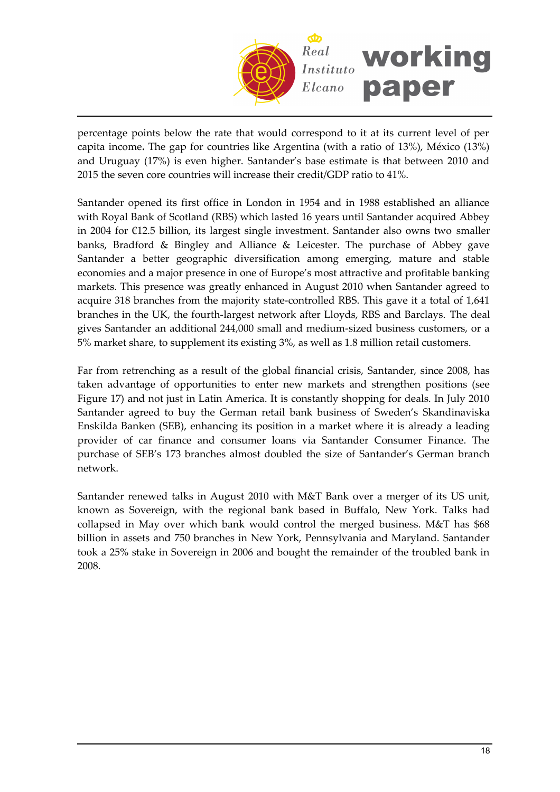

percentage points below the rate that would correspond to it at its current level of per capita income**.** The gap for countries like Argentina (with a ratio of 13%), México (13%) and Uruguay (17%) is even higher. Santander's base estimate is that between 2010 and 2015 the seven core countries will increase their credit/GDP ratio to 41%.

Santander opened its first office in London in 1954 and in 1988 established an alliance with Royal Bank of Scotland (RBS) which lasted 16 years until Santander acquired Abbey in 2004 for €12.5 billion, its largest single investment. Santander also owns two smaller banks, Bradford & Bingley and Alliance & Leicester. The purchase of Abbey gave Santander a better geographic diversification among emerging, mature and stable economies and a major presence in one of Europe's most attractive and profitable banking markets. This presence was greatly enhanced in August 2010 when Santander agreed to acquire 318 branches from the majority state-controlled RBS. This gave it a total of 1,641 branches in the UK, the fourth-largest network after Lloyds, RBS and Barclays. The deal gives Santander an additional 244,000 small and medium-sized business customers, or a 5% market share, to supplement its existing 3%, as well as 1.8 million retail customers.

Far from retrenching as a result of the global financial crisis, Santander, since 2008, has taken advantage of opportunities to enter new markets and strengthen positions (see Figure 17) and not just in Latin America. It is constantly shopping for deals. In July 2010 Santander agreed to buy the German retail bank business of Sweden's Skandinaviska Enskilda Banken (SEB), enhancing its position in a market where it is already a leading provider of car finance and consumer loans via Santander Consumer Finance. The purchase of SEB's 173 branches almost doubled the size of Santander's German branch network.

Santander renewed talks in August 2010 with M&T Bank over a merger of its US unit, known as Sovereign, with the regional bank based in Buffalo, New York. Talks had collapsed in May over which bank would control the merged business. M&T has \$68 billion in assets and 750 branches in New York, Pennsylvania and Maryland. Santander took a 25% stake in Sovereign in 2006 and bought the remainder of the troubled bank in 2008.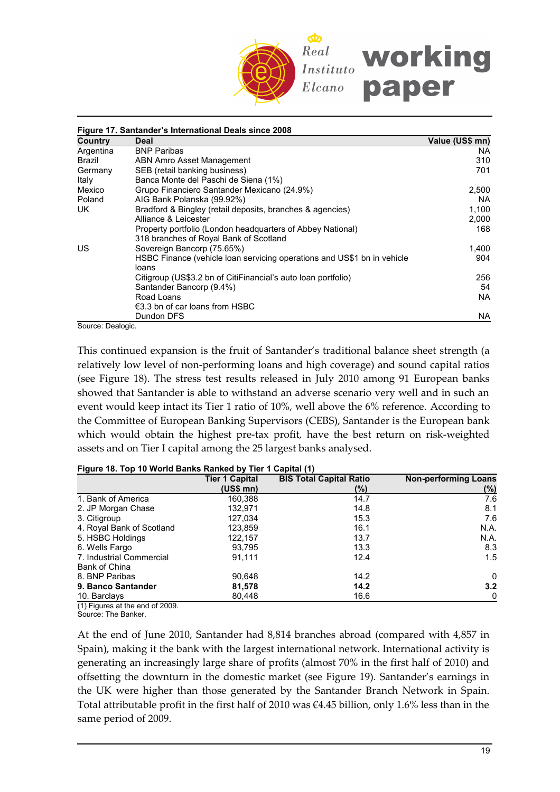

|                   | Figure 17. Santander's International Deals since 2008                   |                 |
|-------------------|-------------------------------------------------------------------------|-----------------|
| Country           | Deal                                                                    | Value (US\$ mn) |
| Argentina         | <b>BNP Paribas</b>                                                      | NA.             |
| Brazil            | ABN Amro Asset Management                                               | 310             |
| Germany           | SEB (retail banking business)                                           | 701             |
| Italy             | Banca Monte del Paschi de Siena (1%)                                    |                 |
| Mexico            | Grupo Financiero Santander Mexicano (24.9%)                             | 2,500           |
| Poland            | AIG Bank Polanska (99.92%)                                              | NA.             |
| UK.               | Bradford & Bingley (retail deposits, branches & agencies)               | 1.100           |
|                   | Alliance & Leicester                                                    | 2,000           |
|                   | Property portfolio (London headquarters of Abbey National)              | 168             |
|                   | 318 branches of Royal Bank of Scotland                                  |                 |
| US.               | Sovereign Bancorp (75.65%)                                              | 1,400           |
|                   | HSBC Finance (vehicle loan servicing operations and US\$1 bn in vehicle | 904             |
|                   | loans                                                                   |                 |
|                   | Citigroup (US\$3.2 bn of CitiFinancial's auto loan portfolio)           | 256             |
|                   | Santander Bancorp (9.4%)                                                | 54              |
|                   | Road Loans                                                              | NA.             |
|                   | $\epsilon$ 3.3 bn of car loans from HSBC                                |                 |
|                   | Dundon DFS                                                              | NA.             |
| Carrosar Daolaich |                                                                         |                 |

Source: Dealogic.

This continued expansion is the fruit of Santander's traditional balance sheet strength (a relatively low level of non-performing loans and high coverage) and sound capital ratios (see Figure 18). The stress test results released in July 2010 among 91 European banks showed that Santander is able to withstand an adverse scenario very well and in such an event would keep intact its Tier 1 ratio of 10%, well above the 6% reference. According to the Committee of European Banking Supervisors (CEBS), Santander is the European bank which would obtain the highest pre-tax profit, have the best return on risk-weighted assets and on Tier I capital among the 25 largest banks analysed.

|                                   | <b>Tier 1 Capital</b> | <b>BIS Total Capital Ratio</b> | <b>Non-performing Loans</b> |
|-----------------------------------|-----------------------|--------------------------------|-----------------------------|
|                                   | $(US$$ mn $)$         | (%)                            | (%)                         |
| 1. Bank of America                | 160,388               | 14.7                           | 7.6                         |
| 2. JP Morgan Chase                | 132,971               | 14.8                           | 8.1                         |
| 3. Citigroup                      | 127,034               | 15.3                           | 7.6                         |
| 4. Royal Bank of Scotland         | 123,859               | 16.1                           | N.A.                        |
| 5. HSBC Holdings                  | 122,157               | 13.7                           | N.A.                        |
| 6. Wells Fargo                    | 93,795                | 13.3                           | 8.3                         |
| 7. Industrial Commercial          | 91.111                | 12.4                           | 1.5                         |
| Bank of China                     |                       |                                |                             |
| 8. BNP Paribas                    | 90,648                | 14.2                           | 0                           |
| 9. Banco Santander                | 81,578                | 14.2                           | 3.2                         |
| 10. Barclays                      | 80,448                | 16.6                           | 0                           |
| $(1)$ $\Box$ $(1)$ $(1)$ $(20000$ |                       |                                |                             |

| Figure 18. Top 10 World Banks Ranked by Tier 1 Capital (1) |
|------------------------------------------------------------|
|------------------------------------------------------------|

(1) Figures at the end of 2009.

Source: The Banker.

At the end of June 2010, Santander had 8,814 branches abroad (compared with 4,857 in Spain), making it the bank with the largest international network. International activity is generating an increasingly large share of profits (almost 70% in the first half of 2010) and offsetting the downturn in the domestic market (see Figure 19). Santander's earnings in the UK were higher than those generated by the Santander Branch Network in Spain. Total attributable profit in the first half of 2010 was  $\epsilon$ 4.45 billion, only 1.6% less than in the same period of 2009.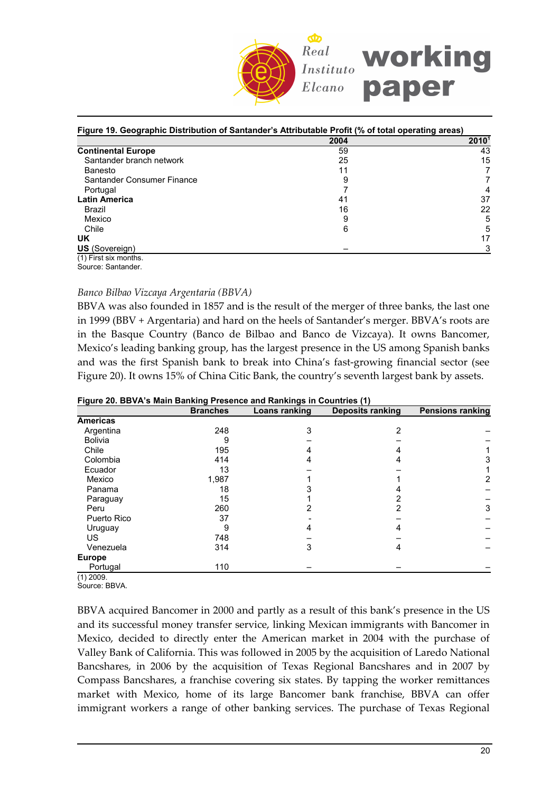

|                            | 2004 | 2010 <sup>1</sup> |
|----------------------------|------|-------------------|
| <b>Continental Europe</b>  | 59   | 43                |
| Santander branch network   | 25   | 15                |
| Banesto                    | 11   |                   |
| Santander Consumer Finance | 9    |                   |
| Portugal                   |      | 4                 |
| <b>Latin America</b>       | 41   | 37                |
| Brazil                     | 16   | 22                |
| Mexico                     | 9    | 5                 |
| Chile                      | 6    | 5                 |
| UK                         |      | 17                |
| <b>US</b> (Sovereign)      |      | 3                 |

Source: Santander.

#### *Banco Bilbao Vizcaya Argentaria (BBVA)*

BBVA was also founded in 1857 and is the result of the merger of three banks, the last one in 1999 (BBV + Argentaria) and hard on the heels of Santander's merger. BBVA's roots are in the Basque Country (Banco de Bilbao and Banco de Vizcaya). It owns Bancomer, Mexico's leading banking group, has the largest presence in the US among Spanish banks and was the first Spanish bank to break into China's fast-growing financial sector (see Figure 20). It owns 15% of China Citic Bank, the country's seventh largest bank by assets.

|                 | <b>Branches</b> | <b>Loans ranking</b> | <b>Deposits ranking</b> | <b>Pensions ranking</b> |
|-----------------|-----------------|----------------------|-------------------------|-------------------------|
| <b>Americas</b> |                 |                      |                         |                         |
| Argentina       | 248             | 3                    | 2                       |                         |
| <b>Bolivia</b>  | 9               |                      |                         |                         |
| Chile           | 195             |                      |                         |                         |
| Colombia        | 414             |                      | 4                       | 3                       |
| Ecuador         | 13              |                      |                         |                         |
| Mexico          | 1,987           |                      |                         | 2                       |
| Panama          | 18              |                      |                         |                         |
| Paraguay        | 15              |                      | 2                       |                         |
| Peru            | 260             |                      | 2                       | 3                       |
| Puerto Rico     | 37              |                      |                         |                         |
| Uruguay         | 9               | 4                    | 4                       |                         |
| US              | 748             |                      |                         |                         |
| Venezuela       | 314             | 3                    | 4                       |                         |
| <b>Europe</b>   |                 |                      |                         |                         |
| Portugal        | 110             |                      |                         |                         |
| $\cdots$ conc   |                 |                      |                         |                         |

**Figure 20. BBVA's Main Banking Presence and Rankings in Countries (1)**

 $(1)$  2009.

Source: BBVA.

BBVA acquired Bancomer in 2000 and partly as a result of this bank's presence in the US and its successful money transfer service, linking Mexican immigrants with Bancomer in Mexico, decided to directly enter the American market in 2004 with the purchase of Valley Bank of California. This was followed in 2005 by the acquisition of Laredo National Bancshares, in 2006 by the acquisition of Texas Regional Bancshares and in 2007 by Compass Bancshares, a franchise covering six states. By tapping the worker remittances market with Mexico, home of its large Bancomer bank franchise, BBVA can offer immigrant workers a range of other banking services. The purchase of Texas Regional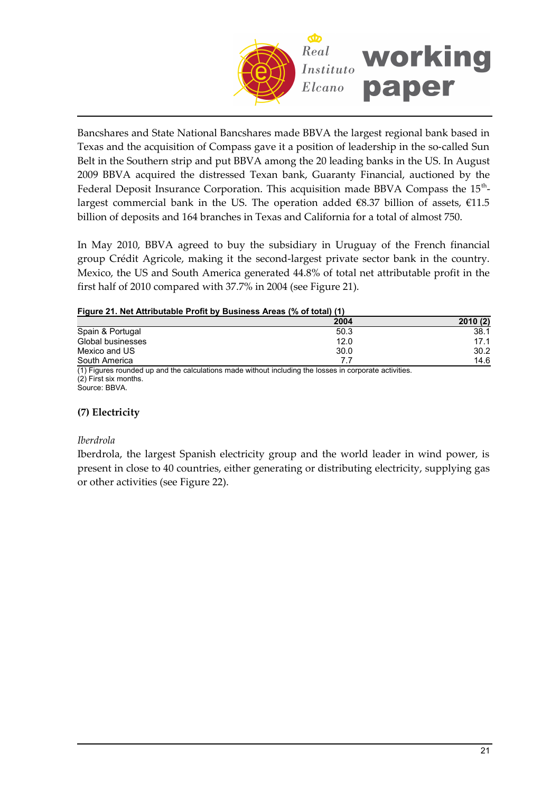

Bancshares and State National Bancshares made BBVA the largest regional bank based in Texas and the acquisition of Compass gave it a position of leadership in the so-called Sun Belt in the Southern strip and put BBVA among the 20 leading banks in the US. In August 2009 BBVA acquired the distressed Texan bank, Guaranty Financial, auctioned by the Federal Deposit Insurance Corporation. This acquisition made BBVA Compass the 15<sup>th</sup>largest commercial bank in the US. The operation added  $\epsilon$ 8.37 billion of assets,  $\epsilon$ 11.5 billion of deposits and 164 branches in Texas and California for a total of almost 750.

In May 2010, BBVA agreed to buy the subsidiary in Uruguay of the French financial group Crédit Agricole, making it the second-largest private sector bank in the country. Mexico, the US and South America generated 44.8% of total net attributable profit in the first half of 2010 compared with 37.7% in 2004 (see Figure 21).

#### **Figure 21. Net Attributable Profit by Business Areas (% of total) (1)**

|                   | 2004                                                                                                  | 2010(2) |
|-------------------|-------------------------------------------------------------------------------------------------------|---------|
| Spain & Portugal  | 50.3                                                                                                  | 38.1    |
| Global businesses | 12.0                                                                                                  | 17.1    |
| Mexico and US     | 30.0                                                                                                  | 30.2    |
| South America     | 77                                                                                                    | 14.6    |
|                   | (1) Figures rounded up and the calculations made without including the losses in corporate activities |         |

(1) Figures rounded up and the calculations made without including the losses in corporate activities. (2) First six months. Source: BBVA.

#### **(7) Electricity**

#### *Iberdrola*

Iberdrola, the largest Spanish electricity group and the world leader in wind power, is present in close to 40 countries, either generating or distributing electricity, supplying gas or other activities (see Figure 22).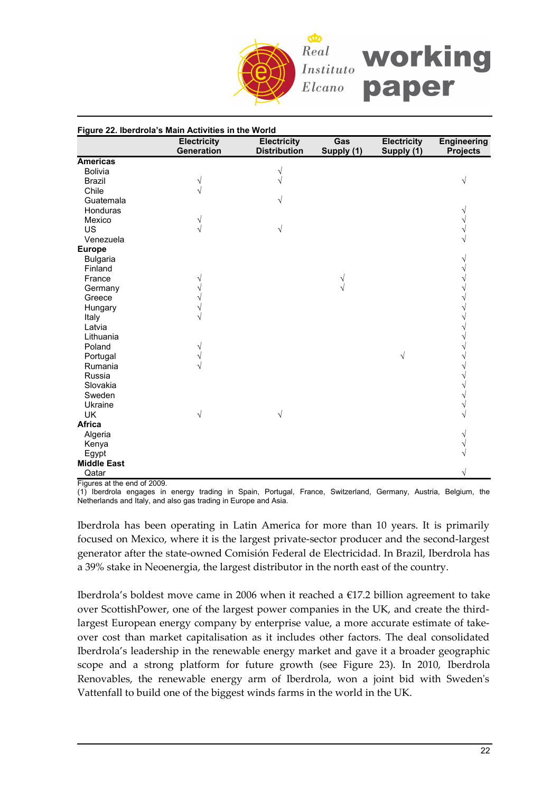

| Figure 22. Iberdrola's Main Activities in the World |                           |                                           |                   |                                  |                                       |  |  |
|-----------------------------------------------------|---------------------------|-------------------------------------------|-------------------|----------------------------------|---------------------------------------|--|--|
|                                                     | Electricity<br>Generation | <b>Electricity</b><br><b>Distribution</b> | Gas<br>Supply (1) | <b>Electricity</b><br>Supply (1) | <b>Engineering</b><br><b>Projects</b> |  |  |
| <b>Americas</b>                                     |                           |                                           |                   |                                  |                                       |  |  |
| <b>Bolivia</b>                                      |                           | V                                         |                   |                                  |                                       |  |  |
| <b>Brazil</b>                                       |                           |                                           |                   |                                  |                                       |  |  |
| Chile                                               |                           |                                           |                   |                                  |                                       |  |  |
| Guatemala                                           |                           |                                           |                   |                                  |                                       |  |  |
| Honduras                                            |                           |                                           |                   |                                  |                                       |  |  |
| Mexico                                              | V                         |                                           |                   |                                  |                                       |  |  |
| <b>US</b>                                           | V                         |                                           |                   |                                  |                                       |  |  |
| Venezuela                                           |                           |                                           |                   |                                  |                                       |  |  |
| <b>Europe</b>                                       |                           |                                           |                   |                                  |                                       |  |  |
| <b>Bulgaria</b>                                     |                           |                                           |                   |                                  |                                       |  |  |
| Finland                                             |                           |                                           |                   |                                  |                                       |  |  |
| France                                              | V                         |                                           | V                 |                                  |                                       |  |  |
| Germany                                             | V                         |                                           | V                 |                                  |                                       |  |  |
| Greece                                              |                           |                                           |                   |                                  |                                       |  |  |
| Hungary                                             |                           |                                           |                   |                                  |                                       |  |  |
| Italy                                               |                           |                                           |                   |                                  |                                       |  |  |
| Latvia                                              |                           |                                           |                   |                                  |                                       |  |  |
| Lithuania                                           |                           |                                           |                   |                                  |                                       |  |  |
| Poland                                              |                           |                                           |                   |                                  |                                       |  |  |
| Portugal                                            | V                         |                                           |                   | V                                |                                       |  |  |
| Rumania                                             | V                         |                                           |                   |                                  |                                       |  |  |
| Russia                                              |                           |                                           |                   |                                  |                                       |  |  |
| Slovakia                                            |                           |                                           |                   |                                  |                                       |  |  |
| Sweden                                              |                           |                                           |                   |                                  |                                       |  |  |
| Ukraine                                             |                           |                                           |                   |                                  |                                       |  |  |
| UK                                                  | V                         | V                                         |                   |                                  |                                       |  |  |
| <b>Africa</b>                                       |                           |                                           |                   |                                  |                                       |  |  |
| Algeria                                             |                           |                                           |                   |                                  |                                       |  |  |
| Kenya                                               |                           |                                           |                   |                                  |                                       |  |  |
| Egypt                                               |                           |                                           |                   |                                  |                                       |  |  |
| <b>Middle East</b>                                  |                           |                                           |                   |                                  |                                       |  |  |
| Qatar                                               |                           |                                           |                   |                                  |                                       |  |  |

Figures at the end of 2009.

(1) Iberdrola engages in energy trading in Spain, Portugal, France, Switzerland, Germany, Austria, Belgium, the Netherlands and Italy, and also gas trading in Europe and Asia.

Iberdrola has been operating in Latin America for more than 10 years. It is primarily focused on Mexico, where it is the largest private-sector producer and the second-largest generator after the state-owned Comisión Federal de Electricidad. In Brazil, Iberdrola has a 39% stake in Neoenergia, the largest distributor in the north east of the country.

Iberdrola's boldest move came in 2006 when it reached a €17.2 billion agreement to take over ScottishPower, one of the largest power companies in the UK, and create the thirdlargest European energy company by enterprise value, a more accurate estimate of takeover cost than market capitalisation as it includes other factors. The deal consolidated Iberdrola's leadership in the renewable energy market and gave it a broader geographic scope and a strong platform for future growth (see Figure 23). In 2010, Iberdrola Renovables, the renewable energy arm of Iberdrola, won a joint bid with Sweden's Vattenfall to build one of the biggest winds farms in the world in the UK.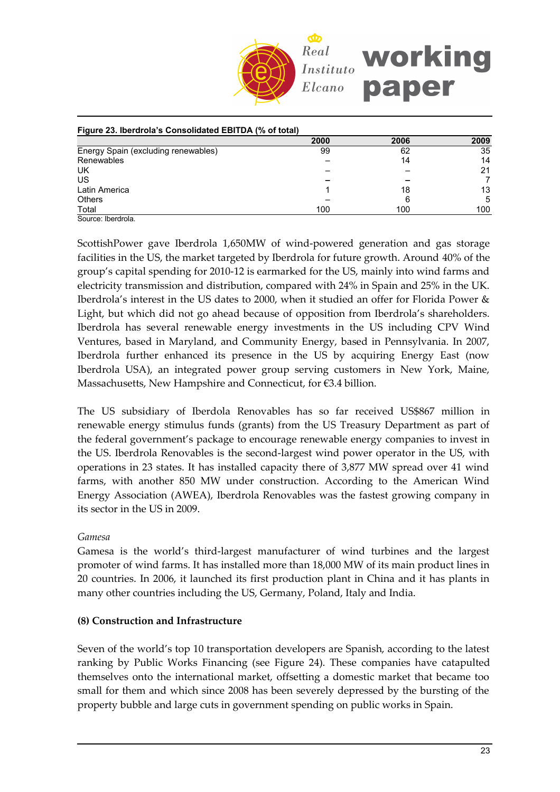

| Figure 23. Iberdrola's Consolidated EBITDA (% of total) |      |      |      |  |  |  |
|---------------------------------------------------------|------|------|------|--|--|--|
|                                                         | 2000 | 2006 | 2009 |  |  |  |
| Energy Spain (excluding renewables)                     | 99   | 62   | 35   |  |  |  |
| Renewables                                              |      | 14   | 14   |  |  |  |
| UK                                                      |      |      | 21   |  |  |  |
| US                                                      |      |      |      |  |  |  |
| Latin America                                           |      | 18   | 13   |  |  |  |
| <b>Others</b>                                           |      |      | 5    |  |  |  |
| Total                                                   | 100  | 100  | 100  |  |  |  |

Source: Iberdrola.

ScottishPower gave Iberdrola 1,650MW of wind-powered generation and gas storage facilities in the US, the market targeted by Iberdrola for future growth. Around 40% of the group's capital spending for 2010-12 is earmarked for the US, mainly into wind farms and electricity transmission and distribution, compared with 24% in Spain and 25% in the UK. Iberdrola's interest in the US dates to 2000, when it studied an offer for Florida Power & Light, but which did not go ahead because of opposition from Iberdrola's shareholders. Iberdrola has several renewable energy investments in the US including CPV Wind Ventures, based in Maryland, and Community Energy, based in Pennsylvania. In 2007, Iberdrola further enhanced its presence in the US by acquiring Energy East (now Iberdrola USA), an integrated power group serving customers in New York, Maine, Massachusetts, New Hampshire and Connecticut, for €3.4 billion.

The US subsidiary of Iberdola Renovables has so far received US\$867 million in renewable energy stimulus funds (grants) from the US Treasury Department as part of the federal government's package to encourage renewable energy companies to invest in the US. Iberdrola Renovables is the second-largest wind power operator in the US, with operations in 23 states. It has installed capacity there of 3,877 MW spread over 41 wind farms, with another 850 MW under construction. According to the American Wind Energy Association (AWEA), Iberdrola Renovables was the fastest growing company in its sector in the US in 2009.

#### *Gamesa*

Gamesa is the world's third-largest manufacturer of wind turbines and the largest promoter of wind farms. It has installed more than 18,000 MW of its main product lines in 20 countries. In 2006, it launched its first production plant in China and it has plants in many other countries including the US, Germany, Poland, Italy and India.

#### **(8) Construction and Infrastructure**

Seven of the world's top 10 transportation developers are Spanish, according to the latest ranking by Public Works Financing (see Figure 24). These companies have catapulted themselves onto the international market, offsetting a domestic market that became too small for them and which since 2008 has been severely depressed by the bursting of the property bubble and large cuts in government spending on public works in Spain.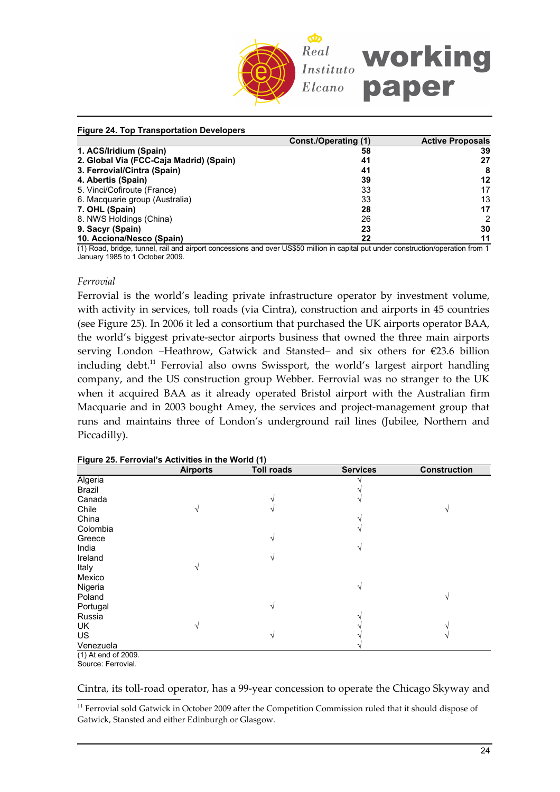

| <b>Figure 24. Top Transportation Developers</b> |                             |                         |
|-------------------------------------------------|-----------------------------|-------------------------|
|                                                 | <b>Const./Operating (1)</b> | <b>Active Proposals</b> |
| 1. ACS/Iridium (Spain)                          | 58                          | 39                      |
| 2. Global Via (FCC-Caja Madrid) (Spain)         | 41                          | 27                      |
| 3. Ferrovial/Cintra (Spain)                     | 41                          | 8                       |
| 4. Abertis (Spain)                              | 39                          | 12                      |
| 5. Vinci/Cofiroute (France)                     | 33                          | 17                      |
| 6. Macquarie group (Australia)                  | 33                          | 13                      |
| 7. OHL (Spain)                                  | 28                          | 17                      |
| 8. NWS Holdings (China)                         | 26                          | $\overline{2}$          |
| 9. Sacyr (Spain)                                | 23                          | 30                      |
| 10. Acciona/Nesco (Spain)                       | 22                          | 11                      |

(1) Road, bridge, tunnel, rail and airport concessions and over US\$50 million in capital put under construction/operation from 1 January 1985 to 1 October 2009.

#### *Ferrovial*

Ferrovial is the world's leading private infrastructure operator by investment volume, with activity in services, toll roads (via Cintra), construction and airports in 45 countries (see Figure 25). In 2006 it led a consortium that purchased the UK airports operator BAA, the world's biggest private-sector airports business that owned the three main airports serving London –Heathrow, Gatwick and Stansted– and six others for €23.6 billion including debt.<sup>[11](#page-23-0)</sup> Ferrovial also owns Swissport, the world's largest airport handling company, and the US construction group Webber. Ferrovial was no stranger to the UK when it acquired BAA as it already operated Bristol airport with the Australian firm Macquarie and in 2003 bought Amey, the services and project-management group that runs and maintains three of London's underground rail lines (Jubilee, Northern and Piccadilly).

|               | <b>I iguit 20. I tribular 3 Activities in the World (1)</b><br><b>Airports</b> | <b>Toll roads</b> | <b>Services</b> | <b>Construction</b> |
|---------------|--------------------------------------------------------------------------------|-------------------|-----------------|---------------------|
| Algeria       |                                                                                |                   |                 |                     |
| <b>Brazil</b> |                                                                                |                   |                 |                     |
| Canada        |                                                                                |                   |                 |                     |
| Chile         | $\mathcal{N}$                                                                  |                   |                 | V                   |
| China         |                                                                                |                   |                 |                     |
| Colombia      |                                                                                |                   |                 |                     |
| Greece        |                                                                                | N                 |                 |                     |
| India         |                                                                                |                   |                 |                     |
| Ireland       |                                                                                |                   |                 |                     |
| Italy         | N                                                                              |                   |                 |                     |
| Mexico        |                                                                                |                   |                 |                     |
| Nigeria       |                                                                                |                   | V               |                     |
| Poland        |                                                                                |                   |                 | V                   |
| Portugal      |                                                                                | V                 |                 |                     |
| Russia        |                                                                                |                   |                 |                     |
| UK            | $\mathcal{N}$                                                                  |                   |                 |                     |
| <b>US</b>     |                                                                                | N                 |                 |                     |
| Venezuela     |                                                                                |                   |                 |                     |

| Figure 25. Ferrovial's Activities in the World (1) |
|----------------------------------------------------|
|----------------------------------------------------|

(1) At end of 2009.

Source: Ferrovial.

Cintra, its toll-road operator, has a 99-year concession to operate the Chicago Skyway and

<span id="page-23-0"></span><sup>11</sup> Ferrovial sold Gatwick in October 2009 after the Competition Commission ruled that it should dispose of Gatwick, Stansted and either Edinburgh or Glasgow.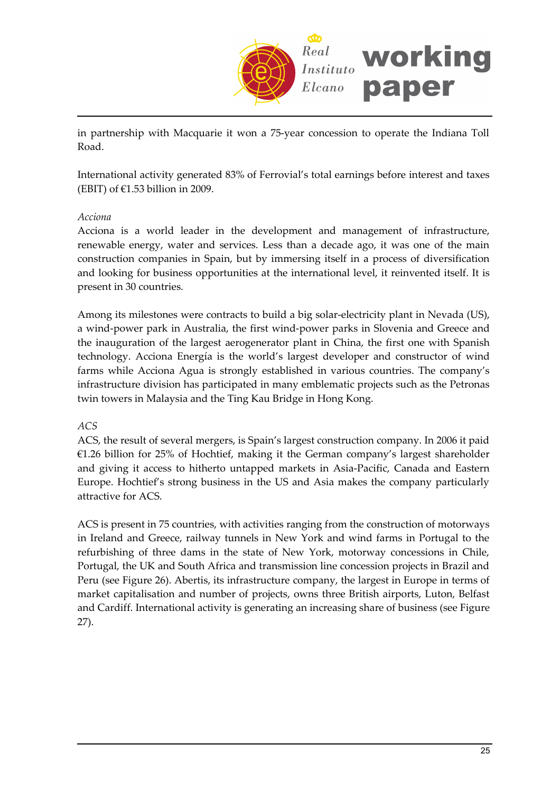

in partnership with Macquarie it won a 75-year concession to operate the Indiana Toll Road.

International activity generated 83% of Ferrovial's total earnings before interest and taxes (EBIT) of  $\epsilon$ 1.53 billion in 2009.

#### *Acciona*

Acciona is a world leader in the development and management of infrastructure, renewable energy, water and services. Less than a decade ago, it was one of the main construction companies in Spain, but by immersing itself in a process of diversification and looking for business opportunities at the international level, it reinvented itself. It is present in 30 countries.

Among its milestones were contracts to build a big solar-electricity plant in Nevada (US), a wind-power park in Australia, the first wind-power parks in Slovenia and Greece and the inauguration of the largest aerogenerator plant in China, the first one with Spanish technology. Acciona Energía is the world's largest developer and constructor of wind farms while Acciona Agua is strongly established in various countries. The company's infrastructure division has participated in many emblematic projects such as the Petronas twin towers in Malaysia and the Ting Kau Bridge in Hong Kong.

# *ACS*

ACS, the result of several mergers, is Spain's largest construction company. In 2006 it paid €1.26 billion for 25% of Hochtief, making it the German company's largest shareholder and giving it access to hitherto untapped markets in Asia-Pacific, Canada and Eastern Europe. Hochtief's strong business in the US and Asia makes the company particularly attractive for ACS.

ACS is present in 75 countries, with activities ranging from the construction of motorways in Ireland and Greece, railway tunnels in New York and wind farms in Portugal to the refurbishing of three dams in the state of New York, motorway concessions in Chile, Portugal, the UK and South Africa and transmission line concession projects in Brazil and Peru (see Figure 26). Abertis, its infrastructure company, the largest in Europe in terms of market capitalisation and number of projects, owns three British airports, Luton, Belfast and Cardiff. International activity is generating an increasing share of business (see Figure 27).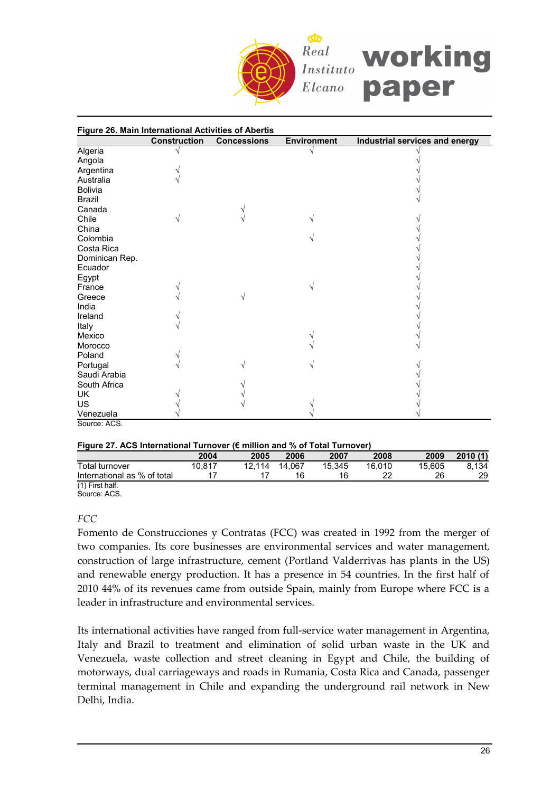

| Figure 26. Main International Activities of Abertis |                     |                    |                    |                                       |  |  |  |
|-----------------------------------------------------|---------------------|--------------------|--------------------|---------------------------------------|--|--|--|
|                                                     | <b>Construction</b> | <b>Concessions</b> | <b>Environment</b> | <b>Industrial services and energy</b> |  |  |  |
| Algeria                                             |                     |                    |                    |                                       |  |  |  |
| Angola                                              |                     |                    |                    |                                       |  |  |  |
| Argentina                                           |                     |                    |                    |                                       |  |  |  |
| Australia                                           |                     |                    |                    |                                       |  |  |  |
| <b>Bolivia</b>                                      |                     |                    |                    |                                       |  |  |  |
| <b>Brazil</b>                                       |                     |                    |                    |                                       |  |  |  |
| Canada                                              |                     |                    |                    |                                       |  |  |  |
| Chile                                               |                     |                    |                    |                                       |  |  |  |
| China                                               |                     |                    |                    |                                       |  |  |  |
| Colombia                                            |                     |                    |                    |                                       |  |  |  |
| Costa Rica                                          |                     |                    |                    |                                       |  |  |  |
| Dominican Rep.                                      |                     |                    |                    |                                       |  |  |  |
| Ecuador                                             |                     |                    |                    |                                       |  |  |  |
| Egypt                                               |                     |                    |                    |                                       |  |  |  |
| France                                              |                     |                    |                    |                                       |  |  |  |
| Greece                                              |                     |                    |                    |                                       |  |  |  |
| India                                               |                     |                    |                    |                                       |  |  |  |
| Ireland                                             |                     |                    |                    |                                       |  |  |  |
| Italy                                               |                     |                    |                    |                                       |  |  |  |
| Mexico                                              |                     |                    |                    |                                       |  |  |  |
| Morocco                                             |                     |                    |                    |                                       |  |  |  |
| Poland                                              |                     |                    |                    |                                       |  |  |  |
| Portugal                                            |                     |                    |                    |                                       |  |  |  |
| Saudi Arabia                                        |                     |                    |                    |                                       |  |  |  |
| South Africa                                        |                     |                    |                    |                                       |  |  |  |
| UK                                                  |                     |                    |                    |                                       |  |  |  |
| <b>US</b>                                           |                     |                    |                    |                                       |  |  |  |
| Venezuela                                           |                     |                    |                    |                                       |  |  |  |
| Source: ACS.                                        |                     |                    |                    |                                       |  |  |  |

#### **Figure 27. ACS International Turnover (€ million and % of Total Turnover)**

|                             | 2004   | 2005   | 2006   | 2007   | 2008   | 2009   | 2010(1) |
|-----------------------------|--------|--------|--------|--------|--------|--------|---------|
| Total turnover              | 10.817 | 12.114 | 14.067 | 15.345 | 16.010 | 15.605 | 8.134   |
| International as % of total |        |        | 16     | 16     | 22     | 26     | 29      |
| (1) First half.             |        |        |        |        |        |        |         |

Source: ACS.

#### *FCC*

Fomento de Construcciones y Contratas (FCC) was created in 1992 from the merger of two companies. Its core businesses are environmental services and water management, construction of large infrastructure, cement (Portland Valderrivas has plants in the US) and renewable energy production. It has a presence in 54 countries. In the first half of 2010 44% of its revenues came from outside Spain, mainly from Europe where FCC is a leader in infrastructure and environmental services.

Its international activities have ranged from full-service water management in Argentina, Italy and Brazil to treatment and elimination of solid urban waste in the UK and Venezuela, waste collection and street cleaning in Egypt and Chile, the building of motorways, dual carriageways and roads in Rumania, Costa Rica and Canada, passenger terminal management in Chile and expanding the underground rail network in New Delhi, India.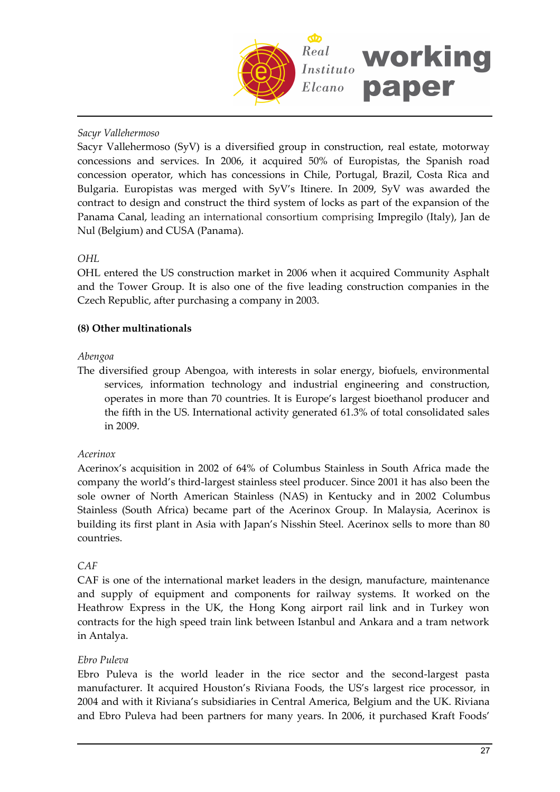

# *Sacyr Vallehermoso*

Sacyr Vallehermoso (SyV) is a diversified group in construction, real estate, motorway concessions and services. In 2006, it acquired 50% of Europistas, the Spanish road concession operator, which has concessions in Chile, Portugal, Brazil, Costa Rica and Bulgaria. Europistas was merged with SyV's Itinere. In 2009, SyV was awarded the contract to design and construct the third system of locks as part of the expansion of the Panama Canal, leading an international consortium comprising Impregilo (Italy), Jan de Nul (Belgium) and CUSA (Panama).

# *OHL*

OHL entered the US construction market in 2006 when it acquired Community Asphalt and the Tower Group. It is also one of the five leading construction companies in the Czech Republic, after purchasing a company in 2003.

# **(8) Other multinationals**

# *Abengoa*

The diversified group Abengoa, with interests in solar energy, biofuels, environmental services, information technology and industrial engineering and construction, operates in more than 70 countries. It is Europe's largest bioethanol producer and the fifth in the US. International activity generated 61.3% of total consolidated sales in 2009.

# *Acerinox*

Acerinox's acquisition in 2002 of 64% of Columbus Stainless in South Africa made the company the world's third-largest stainless steel producer. Since 2001 it has also been the sole owner of North American Stainless (NAS) in Kentucky and in 2002 Columbus Stainless (South Africa) became part of the Acerinox Group. In Malaysia, Acerinox is building its first plant in Asia with Japan's Nisshin Steel. Acerinox sells to more than 80 countries.

# *CAF*

CAF is one of the international market leaders in the design, manufacture, maintenance and supply of equipment and components for railway systems. It worked on the Heathrow Express in the UK, the Hong Kong airport rail link and in Turkey won contracts for the high speed train link between Istanbul and Ankara and a tram network in Antalya.

# *Ebro Puleva*

Ebro Puleva is the world leader in the rice sector and the second-largest pasta manufacturer. It acquired Houston's Riviana Foods, the US's largest rice processor, in 2004 and with it Riviana's subsidiaries in Central America, Belgium and the UK. Riviana and Ebro Puleva had been partners for many years. In 2006, it purchased Kraft Foods'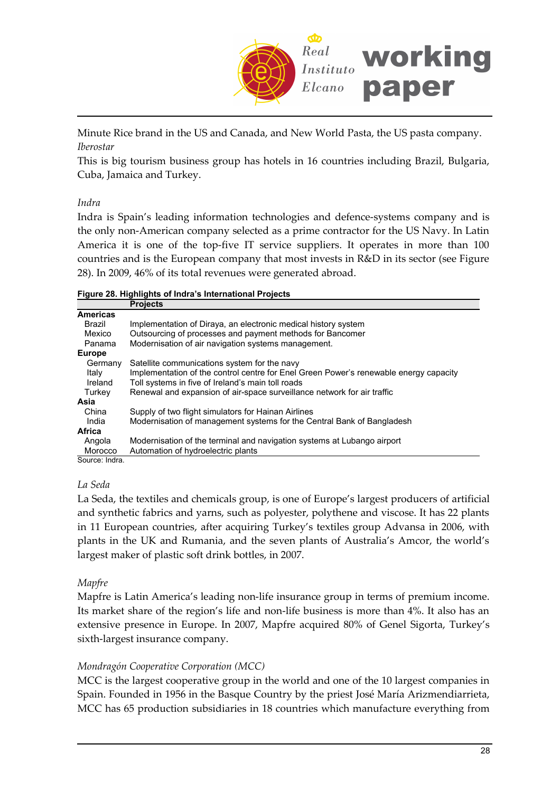

Minute Rice brand in the US and Canada, and New World Pasta, the US pasta company. *Iberostar*

This is big tourism business group has hotels in 16 countries including Brazil, Bulgaria, Cuba, Jamaica and Turkey.

*Indra*

Indra is Spain's leading information technologies and defence-systems company and is the only non-American company selected as a prime contractor for the US Navy. In Latin America it is one of the top-five IT service suppliers. It operates in more than 100 countries and is the European company that most invests in R&D in its sector (see Figure 28). In 2009, 46% of its total revenues were generated abroad.

|                 | <b>Projects</b>                                                                       |
|-----------------|---------------------------------------------------------------------------------------|
| <b>Americas</b> |                                                                                       |
| Brazil          | Implementation of Diraya, an electronic medical history system                        |
| Mexico          | Outsourcing of processes and payment methods for Bancomer                             |
| Panama          | Modernisation of air navigation systems management.                                   |
| <b>Europe</b>   |                                                                                       |
| Germany         | Satellite communications system for the navy                                          |
| Italy           | Implementation of the control centre for Enel Green Power's renewable energy capacity |
| Ireland         | Toll systems in five of Ireland's main toll roads                                     |
| Turkey          | Renewal and expansion of air-space surveillance network for air traffic               |
| Asia            |                                                                                       |
| China           | Supply of two flight simulators for Hainan Airlines                                   |
| India           | Modernisation of management systems for the Central Bank of Bangladesh                |
| Africa          |                                                                                       |
| Angola          | Modernisation of the terminal and navigation systems at Lubango airport               |
| Morocco         | Automation of hydroelectric plants                                                    |
| Source: Indra   |                                                                                       |

#### *La Seda*

La Seda, the textiles and chemicals group, is one of Europe's largest producers of artificial and synthetic fabrics and yarns, such as polyester, polythene and viscose. It has 22 plants in 11 European countries, after acquiring Turkey's textiles group Advansa in 2006, with plants in the UK and Rumania, and the seven plants of Australia's Amcor, the world's largest maker of plastic soft drink bottles, in 2007.

# *Mapfre*

Mapfre is Latin America's leading non-life insurance group in terms of premium income. Its market share of the region's life and non-life business is more than 4%. It also has an extensive presence in Europe. In 2007, Mapfre acquired 80% of Genel Sigorta, Turkey's sixth-largest insurance company.

# *Mondragón Cooperative Corporation (MCC)*

MCC is the largest cooperative group in the world and one of the 10 largest companies in Spain. Founded in 1956 in the Basque Country by the priest José María Arizmendiarrieta, MCC has 65 production subsidiaries in 18 countries which manufacture everything from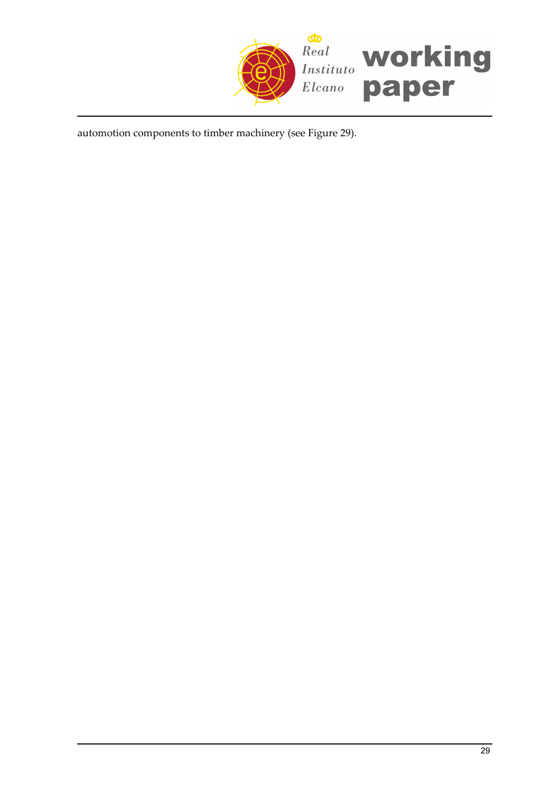

automotion components to timber machinery (see Figure 29).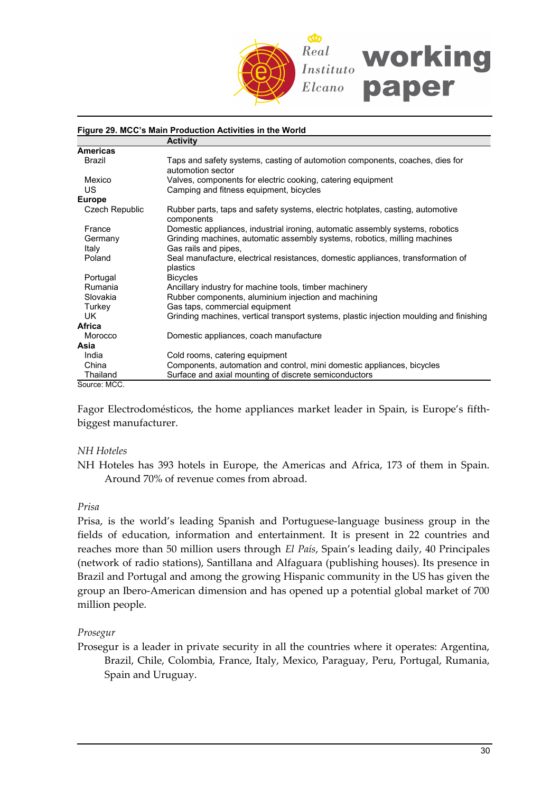

#### **Figure 29. MCC's Main Production Activities in the World**

|                 | <b>Activity</b>                                                                                   |
|-----------------|---------------------------------------------------------------------------------------------------|
| <b>Americas</b> |                                                                                                   |
| Brazil          | Taps and safety systems, casting of automotion components, coaches, dies for<br>automotion sector |
| Mexico          | Valves, components for electric cooking, catering equipment                                       |
| US              | Camping and fitness equipment, bicycles                                                           |
| <b>Europe</b>   |                                                                                                   |
| Czech Republic  | Rubber parts, taps and safety systems, electric hotplates, casting, automotive<br>components      |
| France          | Domestic appliances, industrial ironing, automatic assembly systems, robotics                     |
| Germany         | Grinding machines, automatic assembly systems, robotics, milling machines                         |
| Italy           | Gas rails and pipes,                                                                              |
| Poland          | Seal manufacture, electrical resistances, domestic appliances, transformation of<br>plastics      |
| Portugal        | <b>Bicycles</b>                                                                                   |
| Rumania         | Ancillary industry for machine tools, timber machinery                                            |
| Slovakia        | Rubber components, aluminium injection and machining                                              |
| Turkey          | Gas taps, commercial equipment                                                                    |
| UK.             | Grinding machines, vertical transport systems, plastic injection moulding and finishing           |
| Africa          |                                                                                                   |
| Morocco         | Domestic appliances, coach manufacture                                                            |
| Asia            |                                                                                                   |
| India           | Cold rooms, catering equipment                                                                    |
| China           | Components, automation and control, mini domestic appliances, bicycles                            |
| Thailand        | Surface and axial mounting of discrete semiconductors                                             |
| Source: MCC.    |                                                                                                   |

Fagor Electrodomésticos, the home appliances market leader in Spain, is Europe's fifthbiggest manufacturer.

#### *NH Hoteles*

NH Hoteles has 393 hotels in Europe, the Americas and Africa, 173 of them in Spain. Around 70% of revenue comes from abroad.

#### *Prisa*

Prisa, is the world's leading Spanish and Portuguese-language business group in the fields of education, information and entertainment. It is present in 22 countries and reaches more than 50 million users through *El País*, Spain's leading daily, 40 Principales (network of radio stations), Santillana and Alfaguara (publishing houses). Its presence in Brazil and Portugal and among the growing Hispanic community in the US has given the group an Ibero-American dimension and has opened up a potential global market of 700 million people.

#### *Prosegur*

Prosegur is a leader in private security in all the countries where it operates: Argentina, Brazil, Chile, Colombia, France, Italy, Mexico, Paraguay, Peru, Portugal, Rumania, Spain and Uruguay.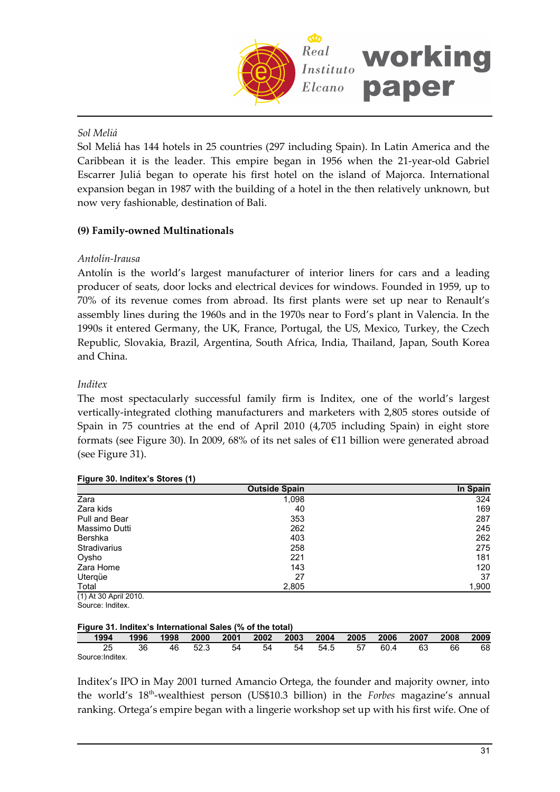

# *Sol Meliá*

Sol Meliá has 144 hotels in 25 countries (297 including Spain). In Latin America and the Caribbean it is the leader. This empire began in 1956 when the 21-year-old Gabriel Escarrer Juliá began to operate his first hotel on the island of Majorca. International expansion began in 1987 with the building of a hotel in the then relatively unknown, but now very fashionable, destination of Bali.

# **(9) Family-owned Multinationals**

## *Antolín-Irausa*

Antolín is the world's largest manufacturer of interior liners for cars and a leading producer of seats, door locks and electrical devices for windows. Founded in 1959, up to 70% of its revenue comes from abroad. Its first plants were set up near to Renault's assembly lines during the 1960s and in the 1970s near to Ford's plant in Valencia. In the 1990s it entered Germany, the UK, France, Portugal, the US, Mexico, Turkey, the Czech Republic, Slovakia, Brazil, Argentina, South Africa, India, Thailand, Japan, South Korea and China.

# *Inditex*

The most spectacularly successful family firm is Inditex, one of the world's largest vertically-integrated clothing manufacturers and marketers with 2,805 stores outside of Spain in 75 countries at the end of April 2010 (4,705 including Spain) in eight store formats (see Figure 30). In 2009, 68% of its net sales of  $\epsilon$ 11 billion were generated abroad (see Figure 31).

|                       | <b>Outside Spain</b> | In Spain |
|-----------------------|----------------------|----------|
| Zara                  | 1,098                | 324      |
| Zara kids             | 40                   | 169      |
| Pull and Bear         | 353                  | 287      |
| Massimo Dutti         | 262                  | 245      |
| Bershka               | 403                  | 262      |
| <b>Stradivarius</b>   | 258                  | 275      |
| Oysho                 | 221                  | 181      |
| Zara Home             | 143                  | 120      |
| Uterqüe               | 27                   | 37       |
| Total                 | 2,805                | 1,900    |
| (1) At 30 April 2010. |                      |          |

#### **Figure 30. Inditex's Stores (1)**

Source: Inditex.

#### **Figure 31. Inditex's International Sales (% of the total)**

| 1994             | 1996 | 1998 | 2000 | 2001 | 2002 | 2003 | 2004 | 2005 | 2006 | 2007 | 2008 | 2009 |
|------------------|------|------|------|------|------|------|------|------|------|------|------|------|
| 25               | 36   | 46   | 52.3 | 54   | 54   | 54   | 54.5 | 57   | 60.4 | 63   | 66   | 68   |
| Source: Inditex. |      |      |      |      |      |      |      |      |      |      |      |      |

Inditex's IPO in May 2001 turned Amancio Ortega, the founder and majority owner, into the world's 18th-wealthiest person (US\$10.3 billion) in the *Forbes* magazine's annual ranking. Ortega's empire began with a lingerie workshop set up with his first wife. One of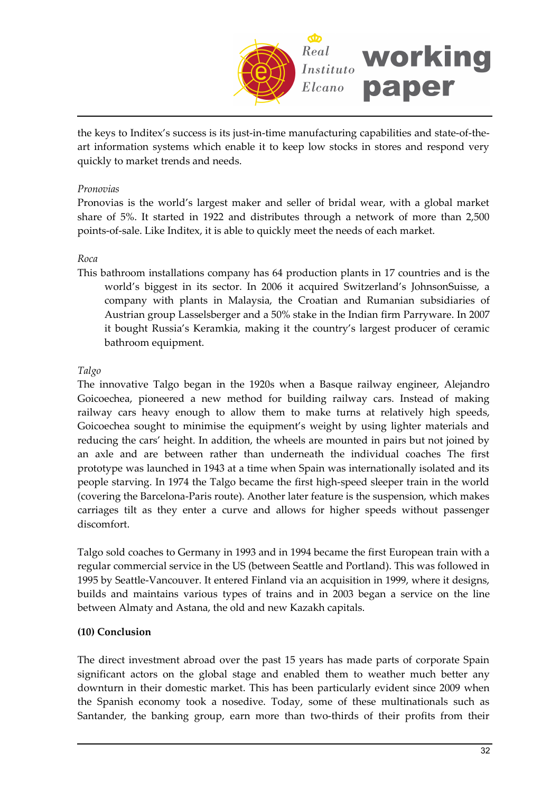

the keys to Inditex's success is its just-in-time manufacturing capabilities and state-of-theart information systems which enable it to keep low stocks in stores and respond very quickly to market trends and needs.

## *Pronovias*

Pronovias is the world's largest maker and seller of bridal wear, with a global market share of 5%. It started in 1922 and distributes through a network of more than 2,500 points-of-sale. Like Inditex, it is able to quickly meet the needs of each market.

## *Roca*

This bathroom installations company has 64 production plants in 17 countries and is the world's biggest in its sector. In 2006 it acquired Switzerland's JohnsonSuisse, a company with plants in Malaysia, the Croatian and Rumanian subsidiaries of Austrian group Lasselsberger and a 50% stake in the Indian firm Parryware. In 2007 it bought Russia's Keramkia, making it the country's largest producer of ceramic bathroom equipment.

# *Talgo*

The innovative Talgo began in the 1920s when a Basque railway engineer, Alejandro Goicoechea, pioneered a new method for building railway cars. Instead of making railway cars heavy enough to allow them to make turns at relatively high speeds, Goicoechea sought to minimise the equipment's weight by using lighter materials and reducing the cars' height. In addition, the wheels are mounted in pairs but not joined by an axle and are between rather than underneath the individual coaches The first prototype was launched in 1943 at a time when Spain was internationally isolated and its people starving. In 1974 the Talgo became the first high-speed sleeper train in the world (covering the Barcelona-Paris route). Another later feature is the suspension, which makes carriages tilt as they enter a curve and allows for higher speeds without passenger discomfort.

Talgo sold coaches to Germany in 1993 and in 1994 became the first European train with a regular commercial service in the US (between Seattle and Portland). This was followed in 1995 by Seattle-Vancouver. It entered Finland via an acquisition in 1999, where it designs, builds and maintains various types of trains and in 2003 began a service on the line between Almaty and Astana, the old and new Kazakh capitals.

# **(10) Conclusion**

The direct investment abroad over the past 15 years has made parts of corporate Spain significant actors on the global stage and enabled them to weather much better any downturn in their domestic market. This has been particularly evident since 2009 when the Spanish economy took a nosedive. Today, some of these multinationals such as Santander, the banking group, earn more than two-thirds of their profits from their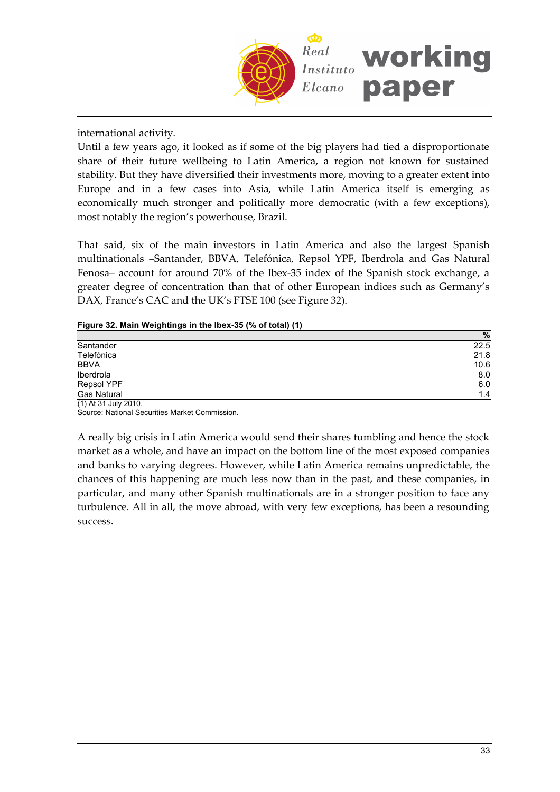

international activity.

Until a few years ago, it looked as if some of the big players had tied a disproportionate share of their future wellbeing to Latin America, a region not known for sustained stability. But they have diversified their investments more, moving to a greater extent into Europe and in a few cases into Asia, while Latin America itself is emerging as economically much stronger and politically more democratic (with a few exceptions), most notably the region's powerhouse, Brazil.

That said, six of the main investors in Latin America and also the largest Spanish multinationals –Santander, BBVA, Telefónica, Repsol YPF, Iberdrola and Gas Natural Fenosa– account for around 70% of the Ibex-35 index of the Spanish stock exchange, a greater degree of concentration than that of other European indices such as Germany's DAX, France's CAC and the UK's FTSE 100 (see Figure 32).

#### **Figure 32. Main Weightings in the Ibex-35 (% of total) (1)**

|                        | $\frac{9}{6}$ |
|------------------------|---------------|
| Santander              | 22.5          |
| Telefónica             | 21.8          |
| <b>BBVA</b>            | 10.6          |
| Iberdrola              | 8.0           |
| Repsol YPF             | 6.0           |
| <b>Gas Natural</b>     | 1.4           |
| $(1)$ At 31 July 2010. |               |

Source: National Securities Market Commission.

A really big crisis in Latin America would send their shares tumbling and hence the stock market as a whole, and have an impact on the bottom line of the most exposed companies and banks to varying degrees. However, while Latin America remains unpredictable, the chances of this happening are much less now than in the past, and these companies, in particular, and many other Spanish multinationals are in a stronger position to face any turbulence. All in all, the move abroad, with very few exceptions, has been a resounding success.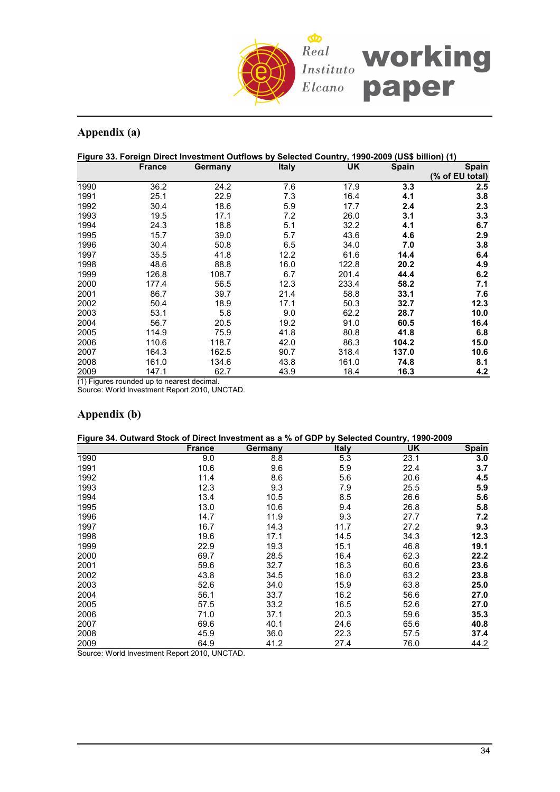

# **Appendix (a)**

|      | <b>France</b> | Figure 33. Foreign Direct Investment Outflows by Selected Country, 1990-2009 (US\$ billion) (1)<br><b>Germany</b> | <b>Italy</b> | UK    | <b>Spain</b> | <b>Spain</b>    |
|------|---------------|-------------------------------------------------------------------------------------------------------------------|--------------|-------|--------------|-----------------|
|      |               |                                                                                                                   |              |       |              | (% of EU total) |
| 1990 | 36.2          | 24.2                                                                                                              | 7.6          | 17.9  | 3.3          | 2.5             |
|      |               |                                                                                                                   |              |       |              |                 |
| 1991 | 25.1          | 22.9                                                                                                              | 7.3          | 16.4  | 4.1          | 3.8             |
| 1992 | 30.4          | 18.6                                                                                                              | 5.9          | 17.7  | 2.4          | 2.3             |
| 1993 | 19.5          | 17.1                                                                                                              | 7.2          | 26.0  | 3.1          | 3.3             |
| 1994 | 24.3          | 18.8                                                                                                              | 5.1          | 32.2  | 4.1          | 6.7             |
| 1995 | 15.7          | 39.0                                                                                                              | 5.7          | 43.6  | 4.6          | 2.9             |
| 1996 | 30.4          | 50.8                                                                                                              | 6.5          | 34.0  | 7.0          | 3.8             |
| 1997 | 35.5          | 41.8                                                                                                              | 12.2         | 61.6  | 14.4         | 6.4             |
| 1998 | 48.6          | 88.8                                                                                                              | 16.0         | 122.8 | 20.2         | 4.9             |
| 1999 | 126.8         | 108.7                                                                                                             | 6.7          | 201.4 | 44.4         | 6.2             |
| 2000 | 177.4         | 56.5                                                                                                              | 12.3         | 233.4 | 58.2         | 7.1             |
| 2001 | 86.7          | 39.7                                                                                                              | 21.4         | 58.8  | 33.1         | 7.6             |
| 2002 | 50.4          | 18.9                                                                                                              | 17.1         | 50.3  | 32.7         | 12.3            |
| 2003 | 53.1          | 5.8                                                                                                               | 9.0          | 62.2  | 28.7         | 10.0            |
| 2004 | 56.7          | 20.5                                                                                                              | 19.2         | 91.0  | 60.5         | 16.4            |
| 2005 | 114.9         | 75.9                                                                                                              | 41.8         | 80.8  | 41.8         | 6.8             |
| 2006 | 110.6         | 118.7                                                                                                             | 42.0         | 86.3  | 104.2        | 15.0            |
| 2007 | 164.3         | 162.5                                                                                                             | 90.7         | 318.4 | 137.0        | 10.6            |
| 2008 | 161.0         | 134.6                                                                                                             | 43.8         | 161.0 | 74.8         | 8.1             |
| 2009 | 147.1         | 62.7                                                                                                              | 43.9         | 18.4  | 16.3         | 4.2             |

(1) Figures rounded up to nearest decimal.

Source: World Investment Report 2010, UNCTAD.

# **Appendix (b)**

| Figure 34. Outward Stock of Direct Investment as a % of GDP by Selected Country, 1990-2009 |  |  |  |
|--------------------------------------------------------------------------------------------|--|--|--|
|--------------------------------------------------------------------------------------------|--|--|--|

|      | <b>France</b> | Germany | <b>Italy</b> | UK   | <b>Spain</b> |
|------|---------------|---------|--------------|------|--------------|
| 1990 | 9.0           | 8.8     | 5.3          | 23.1 | 3.0          |
| 1991 | 10.6          | 9.6     | 5.9          | 22.4 | 3.7          |
| 1992 | 11.4          | 8.6     | 5.6          | 20.6 | 4.5          |
| 1993 | 12.3          | 9.3     | 7.9          | 25.5 | 5.9          |
| 1994 | 13.4          | 10.5    | 8.5          | 26.6 | 5.6          |
| 1995 | 13.0          | 10.6    | 9.4          | 26.8 | 5.8          |
| 1996 | 14.7          | 11.9    | 9.3          | 27.7 | 7.2          |
| 1997 | 16.7          | 14.3    | 11.7         | 27.2 | 9.3          |
| 1998 | 19.6          | 17.1    | 14.5         | 34.3 | 12.3         |
| 1999 | 22.9          | 19.3    | 15.1         | 46.8 | 19.1         |
| 2000 | 69.7          | 28.5    | 16.4         | 62.3 | 22.2         |
| 2001 | 59.6          | 32.7    | 16.3         | 60.6 | 23.6         |
| 2002 | 43.8          | 34.5    | 16.0         | 63.2 | 23.8         |
| 2003 | 52.6          | 34.0    | 15.9         | 63.8 | 25.0         |
| 2004 | 56.1          | 33.7    | 16.2         | 56.6 | 27.0         |
| 2005 | 57.5          | 33.2    | 16.5         | 52.6 | 27.0         |
| 2006 | 71.0          | 37.1    | 20.3         | 59.6 | 35.3         |
| 2007 | 69.6          | 40.1    | 24.6         | 65.6 | 40.8         |
| 2008 | 45.9          | 36.0    | 22.3         | 57.5 | 37.4         |
| 2009 | 64.9          | 41.2    | 27.4         | 76.0 | 44.2         |

Source: World Investment Report 2010, UNCTAD.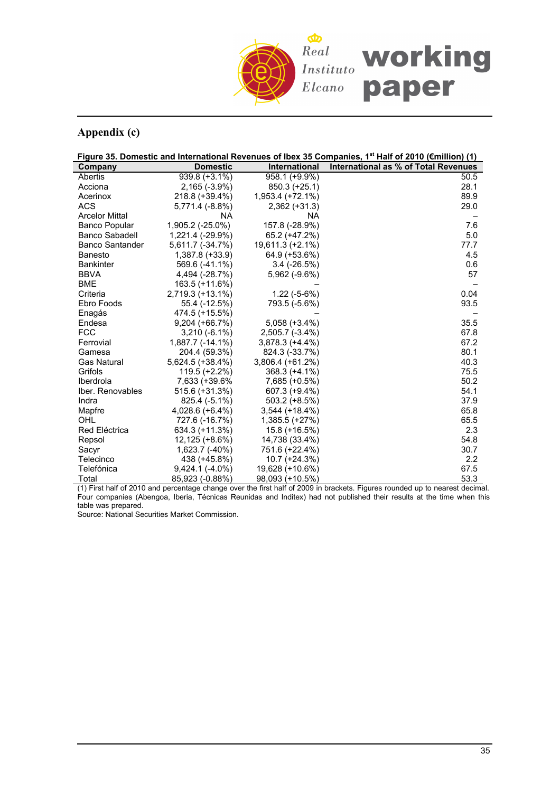

# **Appendix (c)**

| (1) Figure 35. Domestic and International Revenues of Ibex 35 Companies, 1 <sup>st</sup> Half of 2010 (€million) |                    |                    |                                      |  |  |  |  |
|------------------------------------------------------------------------------------------------------------------|--------------------|--------------------|--------------------------------------|--|--|--|--|
| Company                                                                                                          | <b>Domestic</b>    | International      | International as % of Total Revenues |  |  |  |  |
| Abertis                                                                                                          | 939.8 (+3.1%)      | 958.1 (+9.9%)      | 50.5                                 |  |  |  |  |
| Acciona                                                                                                          | 2,165 (-3.9%)      | 850.3 (+25.1)      | 28.1                                 |  |  |  |  |
| Acerinox                                                                                                         | 218.8 (+39.4%)     | 1,953.4 (+72.1%)   | 89.9                                 |  |  |  |  |
| ACS.                                                                                                             | 5,771.4 (-8.8%)    | $2,362 (+31.3)$    | 29.0                                 |  |  |  |  |
| <b>Arcelor Mittal</b>                                                                                            | NA                 | ΝA                 |                                      |  |  |  |  |
| <b>Banco Popular</b>                                                                                             | 1,905.2 (-25.0%)   | 157.8 (-28.9%)     | 7.6                                  |  |  |  |  |
| <b>Banco Sabadell</b>                                                                                            | 1,221.4 (-29.9%)   | 65.2 (+47.2%)      | 5.0                                  |  |  |  |  |
| <b>Banco Santander</b>                                                                                           | 5,611.7 (-34.7%)   | 19,611.3 (+2.1%)   | 77.7                                 |  |  |  |  |
| <b>Banesto</b>                                                                                                   | 1,387.8 (+33.9)    | 64.9 (+53.6%)      | 4.5                                  |  |  |  |  |
| <b>Bankinter</b>                                                                                                 | 569.6 (-41.1%)     | $3.4$ (-26.5%)     | 0.6                                  |  |  |  |  |
| <b>BBVA</b>                                                                                                      | 4,494 (-28.7%)     | 5,962 (-9.6%)      | 57                                   |  |  |  |  |
| <b>BME</b>                                                                                                       | 163.5 (+11.6%)     |                    |                                      |  |  |  |  |
| Criteria                                                                                                         | 2,719.3 (+13.1%)   | $1.22(-5-6%)$      | 0.04                                 |  |  |  |  |
| Ebro Foods                                                                                                       | 55.4 (-12.5%)      | 793.5 (-5.6%)      | 93.5                                 |  |  |  |  |
| Enagás                                                                                                           | 474.5 (+15.5%)     |                    |                                      |  |  |  |  |
| Endesa                                                                                                           | $9,204 (+66.7%)$   | 5,058 (+3.4%)      | 35.5                                 |  |  |  |  |
| <b>FCC</b>                                                                                                       | $3,210(-6.1\%)$    | 2,505.7 (-3.4%)    | 67.8                                 |  |  |  |  |
| Ferrovial                                                                                                        | 1,887.7 (-14.1%)   | 3,878.3 (+4.4%)    | 67.2                                 |  |  |  |  |
| Gamesa                                                                                                           | 204.4 (59.3%)      | 824.3 (-33.7%)     | 80.1                                 |  |  |  |  |
| <b>Gas Natural</b>                                                                                               | $5,624.5 (+38.4%)$ | $3,806.4 (+61.2%)$ | 40.3                                 |  |  |  |  |
| Grifols                                                                                                          | 119.5 (+2.2%)      | 368.3 (+4.1%)      | 75.5                                 |  |  |  |  |
| Iberdrola                                                                                                        | 7,633 (+39.6%      | $7,685 (+0.5%)$    | 50.2                                 |  |  |  |  |
| Iber. Renovables                                                                                                 | 515.6 (+31.3%)     | 607.3 (+9.4%)      | 54.1                                 |  |  |  |  |
| Indra                                                                                                            | 825.4 (-5.1%)      | $503.2 (+8.5%)$    | 37.9                                 |  |  |  |  |
| Mapfre                                                                                                           | $4,028.6 (+6.4%)$  | $3,544 (+18.4%)$   | 65.8                                 |  |  |  |  |
| OHL                                                                                                              | 727.6 (-16.7%)     | 1,385.5 (+27%)     | 65.5                                 |  |  |  |  |
| Red Eléctrica                                                                                                    | 634.3 (+11.3%)     | 15.8 (+16.5%)      | 2.3                                  |  |  |  |  |
| Repsol                                                                                                           | 12,125 (+8.6%)     | 14,738 (33.4%)     | 54.8                                 |  |  |  |  |
| Sacyr                                                                                                            | 1,623.7 (-40%)     | 751.6 (+22.4%)     | 30.7                                 |  |  |  |  |
| Telecinco                                                                                                        | 438 (+45.8%)       | $10.7 (+24.3%)$    | 2.2                                  |  |  |  |  |
| Telefónica                                                                                                       | $9,424.1(-4.0\%)$  | 19,628 (+10.6%)    | 67.5                                 |  |  |  |  |
| Total                                                                                                            | 85,923 (-0.88%)    | 98,093 (+10.5%)    | 53.3                                 |  |  |  |  |

(1) First half of 2010 and percentage change over the first half of 2009 in brackets. Figures rounded up to nearest decimal. Four companies (Abengoa, Iberia, Técnicas Reunidas and Inditex) had not published their results at the time when this table was prepared.

Source: National Securities Market Commission.